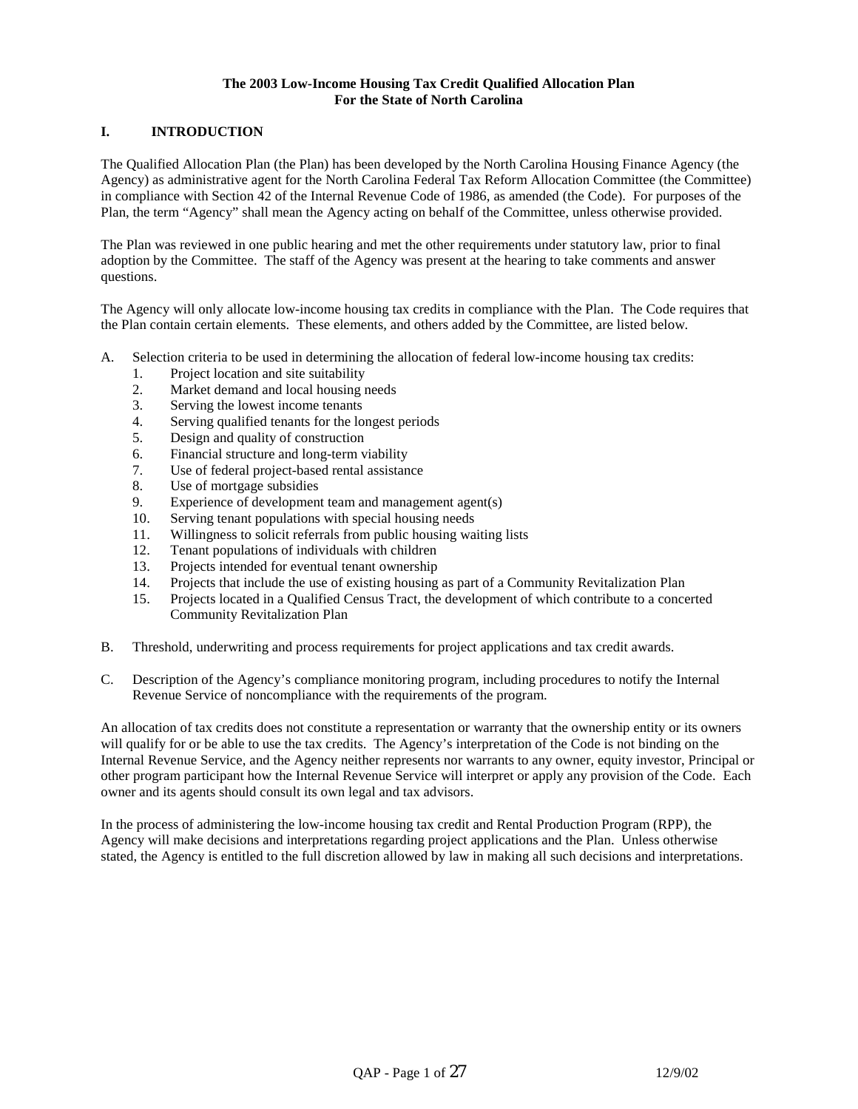### **The 2003 Low-Income Housing Tax Credit Qualified Allocation Plan For the State of North Carolina**

# **I. INTRODUCTION**

The Qualified Allocation Plan (the Plan) has been developed by the North Carolina Housing Finance Agency (the Agency) as administrative agent for the North Carolina Federal Tax Reform Allocation Committee (the Committee) in compliance with Section 42 of the Internal Revenue Code of 1986, as amended (the Code). For purposes of the Plan, the term "Agency" shall mean the Agency acting on behalf of the Committee, unless otherwise provided.

The Plan was reviewed in one public hearing and met the other requirements under statutory law, prior to final adoption by the Committee. The staff of the Agency was present at the hearing to take comments and answer questions.

The Agency will only allocate low-income housing tax credits in compliance with the Plan. The Code requires that the Plan contain certain elements. These elements, and others added by the Committee, are listed below.

- A. Selection criteria to be used in determining the allocation of federal low-income housing tax credits:
	- 1. Project location and site suitability
	- 2. Market demand and local housing needs
	- 3. Serving the lowest income tenants
	- 4. Serving qualified tenants for the longest periods
	- 5. Design and quality of construction
	- 6. Financial structure and long-term viability
	- 7. Use of federal project-based rental assistance
	- 8. Use of mortgage subsidies
	- 9. Experience of development team and management agent(s)
	- 10. Serving tenant populations with special housing needs
	- 11. Willingness to solicit referrals from public housing waiting lists
	- 12. Tenant populations of individuals with children
	- 13. Projects intended for eventual tenant ownership
	- 14. Projects that include the use of existing housing as part of a Community Revitalization Plan
	- 15. Projects located in a Qualified Census Tract, the development of which contribute to a concerted Community Revitalization Plan
- B. Threshold, underwriting and process requirements for project applications and tax credit awards.
- C. Description of the Agency's compliance monitoring program, including procedures to notify the Internal Revenue Service of noncompliance with the requirements of the program.

An allocation of tax credits does not constitute a representation or warranty that the ownership entity or its owners will qualify for or be able to use the tax credits. The Agency's interpretation of the Code is not binding on the Internal Revenue Service, and the Agency neither represents nor warrants to any owner, equity investor, Principal or other program participant how the Internal Revenue Service will interpret or apply any provision of the Code. Each owner and its agents should consult its own legal and tax advisors.

In the process of administering the low-income housing tax credit and Rental Production Program (RPP), the Agency will make decisions and interpretations regarding project applications and the Plan. Unless otherwise stated, the Agency is entitled to the full discretion allowed by law in making all such decisions and interpretations.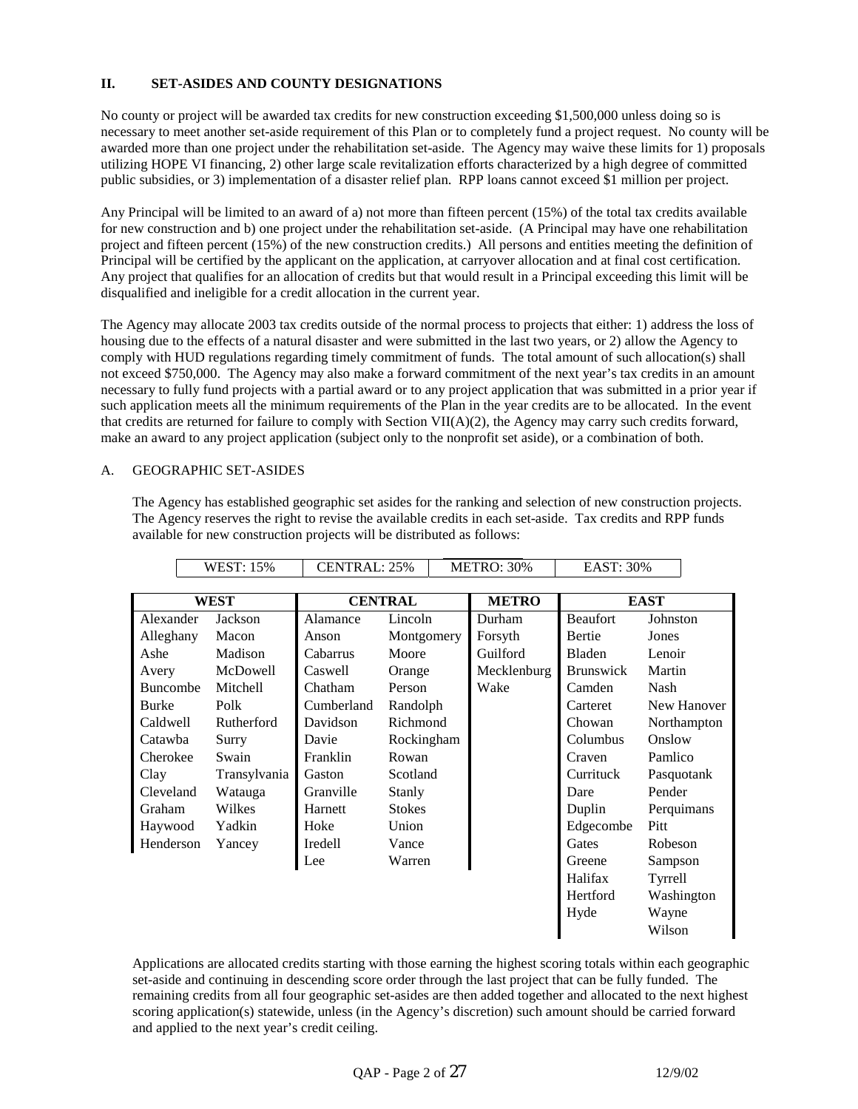## **II. SET-ASIDES AND COUNTY DESIGNATIONS**

No county or project will be awarded tax credits for new construction exceeding \$1,500,000 unless doing so is necessary to meet another set-aside requirement of this Plan or to completely fund a project request. No county will be awarded more than one project under the rehabilitation set-aside. The Agency may waive these limits for 1) proposals utilizing HOPE VI financing, 2) other large scale revitalization efforts characterized by a high degree of committed public subsidies, or 3) implementation of a disaster relief plan. RPP loans cannot exceed \$1 million per project.

Any Principal will be limited to an award of a) not more than fifteen percent (15%) of the total tax credits available for new construction and b) one project under the rehabilitation set-aside. (A Principal may have one rehabilitation project and fifteen percent (15%) of the new construction credits.) All persons and entities meeting the definition of Principal will be certified by the applicant on the application, at carryover allocation and at final cost certification. Any project that qualifies for an allocation of credits but that would result in a Principal exceeding this limit will be disqualified and ineligible for a credit allocation in the current year.

The Agency may allocate 2003 tax credits outside of the normal process to projects that either: 1) address the loss of housing due to the effects of a natural disaster and were submitted in the last two years, or 2) allow the Agency to comply with HUD regulations regarding timely commitment of funds. The total amount of such allocation(s) shall not exceed \$750,000. The Agency may also make a forward commitment of the next year's tax credits in an amount necessary to fully fund projects with a partial award or to any project application that was submitted in a prior year if such application meets all the minimum requirements of the Plan in the year credits are to be allocated. In the event that credits are returned for failure to comply with Section VII(A)(2), the Agency may carry such credits forward, make an award to any project application (subject only to the nonprofit set aside), or a combination of both.

### A. GEOGRAPHIC SET-ASIDES

The Agency has established geographic set asides for the ranking and selection of new construction projects. The Agency reserves the right to revise the available credits in each set-aside. Tax credits and RPP funds available for new construction projects will be distributed as follows:

|              | <b>WEST: 15%</b> | <b>CENTRAL: 25%</b> |               | <b>METRO: 30%</b> | <b>EAST: 30%</b> |                  |          |             |
|--------------|------------------|---------------------|---------------|-------------------|------------------|------------------|----------|-------------|
|              |                  |                     |               |                   |                  |                  |          |             |
| <b>WEST</b>  |                  | <b>CENTRAL</b>      |               | <b>METRO</b>      | <b>EAST</b>      |                  |          |             |
| Alexander    | Jackson          | Alamance            | Lincoln       |                   | Durham           | <b>Beaufort</b>  | Johnston |             |
| Alleghany    | Macon            | Anson               | Montgomery    |                   | Forsyth          | Bertie           | Jones    |             |
| Ashe         | Madison          | Cabarrus            | Moore         |                   | Guilford         | Bladen           | Lenoir   |             |
| Avery        | McDowell         | Caswell             | Orange        |                   | Mecklenburg      | <b>Brunswick</b> | Martin   |             |
| Buncombe     | Mitchell         | Chatham             | Person        |                   | Wake             | Camden           | Nash     |             |
| <b>Burke</b> | Polk             | Cumberland          | Randolph      |                   |                  | Carteret         |          | New Hanover |
| Caldwell     | Rutherford       | Davidson            | Richmond      |                   |                  | Chowan           |          | Northampton |
| Catawba      | Surry            | Davie               | Rockingham    |                   |                  | Columbus         | Onslow   |             |
| Cherokee     | Swain            | Franklin            | Rowan         |                   |                  | Craven           | Pamlico  |             |
| Clay         | Transylvania     | Gaston              | Scotland      |                   |                  | Currituck        |          | Pasquotank  |
| Cleveland    | Watauga          | Granville           | Stanly        |                   |                  | Dare             | Pender   |             |
| Graham       | Wilkes           | Harnett             | <b>Stokes</b> |                   |                  | Duplin           |          | Perquimans  |
| Haywood      | Yadkin           | Hoke                | Union         |                   |                  | Edgecombe        | Pitt     |             |
| Henderson    | Yancey           | Iredell             | Vance         |                   |                  | Gates            | Robeson  |             |
|              |                  | Lee                 | Warren        |                   |                  | Greene           | Sampson  |             |
|              |                  |                     |               |                   |                  | Halifax          | Tyrrell  |             |
|              |                  |                     |               |                   |                  | Hertford         |          | Washington  |
|              |                  |                     |               |                   |                  | Hyde             | Wayne    |             |
|              |                  |                     |               |                   |                  |                  | Wilson   |             |

Applications are allocated credits starting with those earning the highest scoring totals within each geographic set-aside and continuing in descending score order through the last project that can be fully funded. The remaining credits from all four geographic set-asides are then added together and allocated to the next highest scoring application(s) statewide, unless (in the Agency's discretion) such amount should be carried forward and applied to the next year's credit ceiling.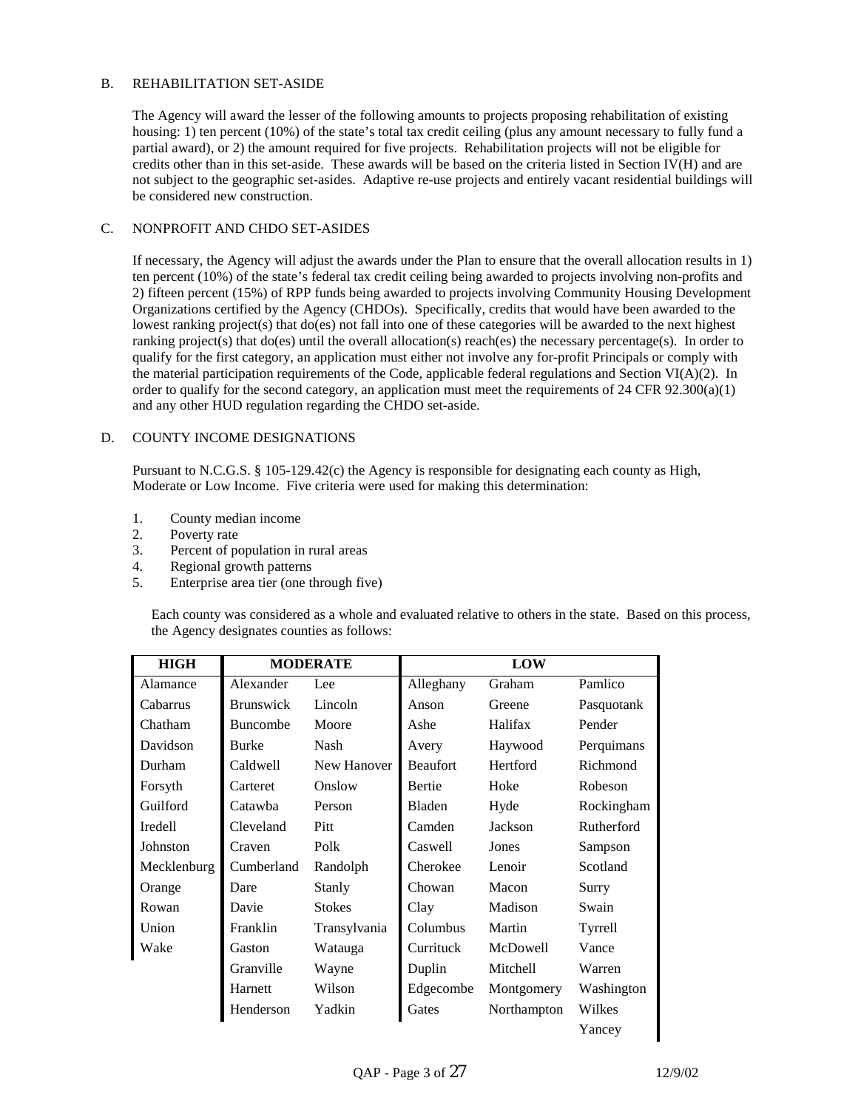### B. REHABILITATION SET-ASIDE

The Agency will award the lesser of the following amounts to projects proposing rehabilitation of existing housing: 1) ten percent (10%) of the state's total tax credit ceiling (plus any amount necessary to fully fund a partial award), or 2) the amount required for five projects. Rehabilitation projects will not be eligible for credits other than in this set-aside. These awards will be based on the criteria listed in Section IV(H) and are not subject to the geographic set-asides. Adaptive re-use projects and entirely vacant residential buildings will be considered new construction.

### C. NONPROFIT AND CHDO SET-ASIDES

If necessary, the Agency will adjust the awards under the Plan to ensure that the overall allocation results in 1) ten percent (10%) of the state's federal tax credit ceiling being awarded to projects involving non-profits and 2) fifteen percent (15%) of RPP funds being awarded to projects involving Community Housing Development Organizations certified by the Agency (CHDOs). Specifically, credits that would have been awarded to the lowest ranking project(s) that do(es) not fall into one of these categories will be awarded to the next highest ranking project(s) that do(es) until the overall allocation(s) reach(es) the necessary percentage(s). In order to qualify for the first category, an application must either not involve any for-profit Principals or comply with the material participation requirements of the Code, applicable federal regulations and Section VI( $A$ )(2). In order to qualify for the second category, an application must meet the requirements of  $24$  CFR  $92.300(a)(1)$ and any other HUD regulation regarding the CHDO set-aside.

## D. COUNTY INCOME DESIGNATIONS

Pursuant to N.C.G.S. § 105-129.42(c) the Agency is responsible for designating each county as High, Moderate or Low Income. Five criteria were used for making this determination:

- 1. County median income
- 2. Poverty rate
- 3. Percent of population in rural areas
- 4. Regional growth patterns
- 5. Enterprise area tier (one through five)

Each county was considered as a whole and evaluated relative to others in the state. Based on this process, the Agency designates counties as follows:

| <b>HIGH</b>                         | <b>MODERATE</b>  |               |                 | LOW         |            |
|-------------------------------------|------------------|---------------|-----------------|-------------|------------|
| Alamance                            | Alexander        | Lee           | Alleghany       | Graham      | Pamlico    |
| Cabarrus                            | <b>Brunswick</b> | Lincoln       | Anson           | Greene      | Pasquotank |
| Chatham                             | <b>Buncombe</b>  | Moore         | Ashe            | Halifax     | Pender     |
| Davidson                            | <b>Burke</b>     | <b>Nash</b>   | Avery           | Haywood     | Perquimans |
| Durham                              | Caldwell         | New Hanover   | <b>Beaufort</b> | Hertford    | Richmond   |
| Forsyth                             | Carteret         | Onslow        | <b>Bertie</b>   | Hoke        | Robeson    |
| Guilford                            | Catawha          | Person        | Bladen          | Hyde        | Rockingham |
| <b>Iredell</b><br>Cleveland<br>Pitt |                  | Camden        | Jackson         | Rutherford  |            |
| Johnston                            | Craven           | Polk          | Caswell         | Jones       | Sampson    |
| Mecklenburg                         | Cumberland       | Randolph      | Cherokee        | Lenoir      | Scotland   |
| Orange                              | Dare             | <b>Stanly</b> | Chowan          | Macon       | Surry      |
| Rowan                               | Davie            | <b>Stokes</b> | Clay            | Madison     | Swain      |
| Union                               | Franklin         | Transylvania  | Columbus        | Martin      | Tyrrell    |
| Wake                                | Gaston           | Watauga       | Currituck       | McDowell    | Vance      |
|                                     | Granville        | Wayne         | Duplin          | Mitchell    | Warren     |
|                                     | Harnett          | Wilson        | Edgecombe       | Montgomery  | Washington |
|                                     | Henderson        | Yadkin        | Gates           | Northampton | Wilkes     |
|                                     |                  |               |                 |             | Yancey     |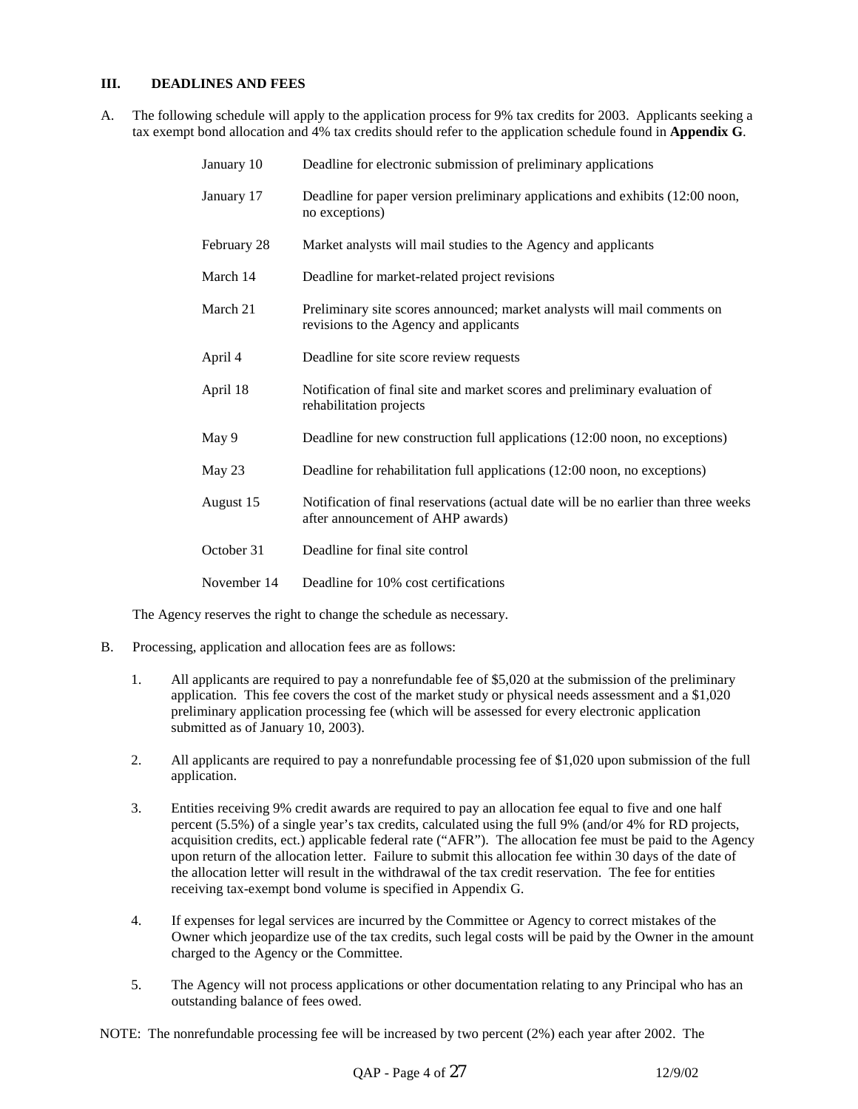### **III. DEADLINES AND FEES**

A. The following schedule will apply to the application process for 9% tax credits for 2003. Applicants seeking a tax exempt bond allocation and 4% tax credits should refer to the application schedule found in **Appendix G**.

| January 10  | Deadline for electronic submission of preliminary applications                                                           |
|-------------|--------------------------------------------------------------------------------------------------------------------------|
| January 17  | Deadline for paper version preliminary applications and exhibits (12:00 noon,<br>no exceptions)                          |
| February 28 | Market analysts will mail studies to the Agency and applicants                                                           |
| March 14    | Deadline for market-related project revisions                                                                            |
| March 21    | Preliminary site scores announced; market analysts will mail comments on<br>revisions to the Agency and applicants       |
| April 4     | Deadline for site score review requests                                                                                  |
| April 18    | Notification of final site and market scores and preliminary evaluation of<br>rehabilitation projects                    |
| May 9       | Deadline for new construction full applications (12:00 noon, no exceptions)                                              |
| May 23      | Deadline for rehabilitation full applications (12:00 noon, no exceptions)                                                |
| August 15   | Notification of final reservations (actual date will be no earlier than three weeks<br>after announcement of AHP awards) |
| October 31  | Deadline for final site control                                                                                          |
| November 14 | Deadline for 10% cost certifications                                                                                     |

The Agency reserves the right to change the schedule as necessary.

- B. Processing, application and allocation fees are as follows:
	- 1. All applicants are required to pay a nonrefundable fee of \$5,020 at the submission of the preliminary application. This fee covers the cost of the market study or physical needs assessment and a \$1,020 preliminary application processing fee (which will be assessed for every electronic application submitted as of January 10, 2003).
	- 2. All applicants are required to pay a nonrefundable processing fee of \$1,020 upon submission of the full application.
	- 3. Entities receiving 9% credit awards are required to pay an allocation fee equal to five and one half percent (5.5%) of a single year's tax credits, calculated using the full 9% (and/or 4% for RD projects, acquisition credits, ect.) applicable federal rate ("AFR"). The allocation fee must be paid to the Agency upon return of the allocation letter. Failure to submit this allocation fee within 30 days of the date of the allocation letter will result in the withdrawal of the tax credit reservation. The fee for entities receiving tax-exempt bond volume is specified in Appendix G.
	- 4. If expenses for legal services are incurred by the Committee or Agency to correct mistakes of the Owner which jeopardize use of the tax credits, such legal costs will be paid by the Owner in the amount charged to the Agency or the Committee.
	- 5. The Agency will not process applications or other documentation relating to any Principal who has an outstanding balance of fees owed.

NOTE: The nonrefundable processing fee will be increased by two percent (2%) each year after 2002. The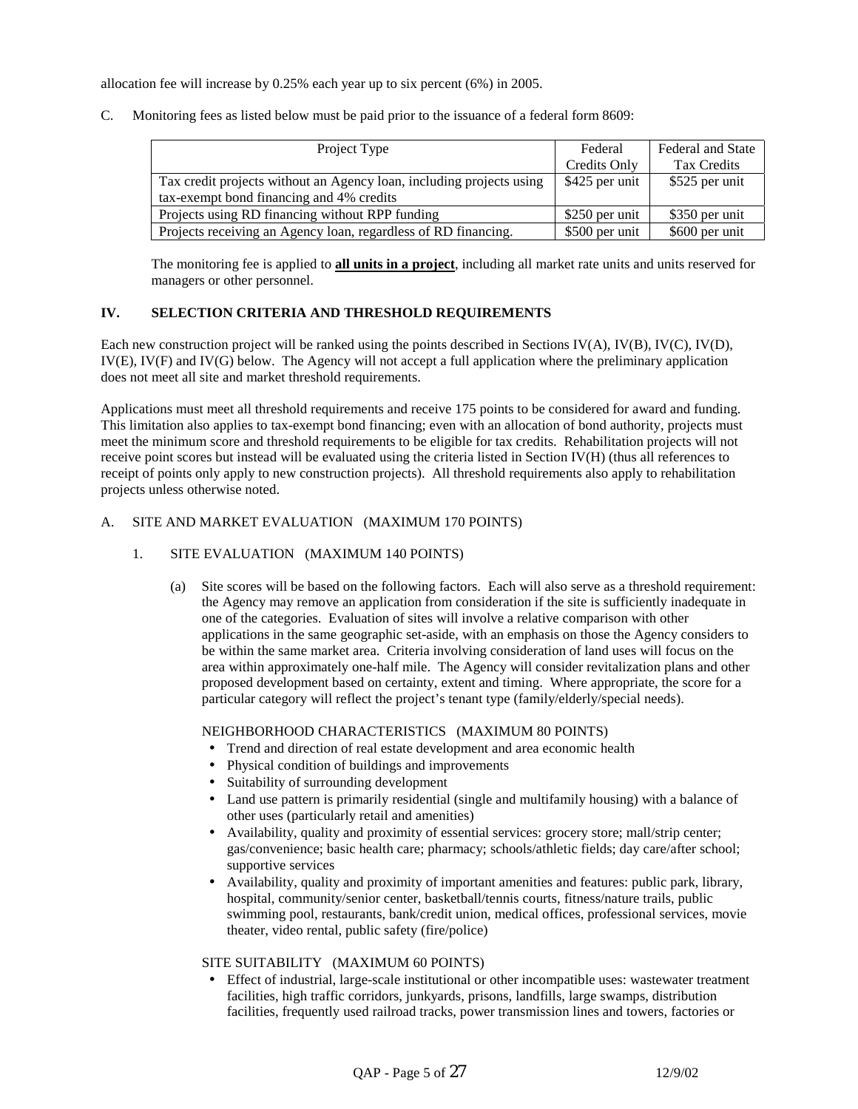allocation fee will increase by 0.25% each year up to six percent (6%) in 2005.

C. Monitoring fees as listed below must be paid prior to the issuance of a federal form 8609:

| Project Type                                                         | Federal        | <b>Federal and State</b> |  |
|----------------------------------------------------------------------|----------------|--------------------------|--|
|                                                                      | Credits Only   | Tax Credits              |  |
| Tax credit projects without an Agency loan, including projects using | \$425 per unit | \$525 per unit           |  |
| tax-exempt bond financing and 4% credits                             |                |                          |  |
| Projects using RD financing without RPP funding                      | \$250 per unit | \$350 per unit           |  |
| Projects receiving an Agency loan, regardless of RD financing.       | \$500 per unit | \$600 per unit           |  |

The monitoring fee is applied to **all units in a project**, including all market rate units and units reserved for managers or other personnel.

### **IV. SELECTION CRITERIA AND THRESHOLD REQUIREMENTS**

Each new construction project will be ranked using the points described in Sections IV(A), IV(B), IV(C), IV(D), IV(E), IV(F) and IV(G) below. The Agency will not accept a full application where the preliminary application does not meet all site and market threshold requirements.

Applications must meet all threshold requirements and receive 175 points to be considered for award and funding. This limitation also applies to tax-exempt bond financing; even with an allocation of bond authority, projects must meet the minimum score and threshold requirements to be eligible for tax credits. Rehabilitation projects will not receive point scores but instead will be evaluated using the criteria listed in Section IV(H) (thus all references to receipt of points only apply to new construction projects). All threshold requirements also apply to rehabilitation projects unless otherwise noted.

#### A. SITE AND MARKET EVALUATION (MAXIMUM 170 POINTS)

- 1. SITE EVALUATION (MAXIMUM 140 POINTS)
	- (a) Site scores will be based on the following factors. Each will also serve as a threshold requirement: the Agency may remove an application from consideration if the site is sufficiently inadequate in one of the categories. Evaluation of sites will involve a relative comparison with other applications in the same geographic set-aside, with an emphasis on those the Agency considers to be within the same market area. Criteria involving consideration of land uses will focus on the area within approximately one-half mile. The Agency will consider revitalization plans and other proposed development based on certainty, extent and timing. Where appropriate, the score for a particular category will reflect the project's tenant type (family/elderly/special needs).

### NEIGHBORHOOD CHARACTERISTICS (MAXIMUM 80 POINTS)

- Trend and direction of real estate development and area economic health
- Physical condition of buildings and improvements
- Suitability of surrounding development
- Land use pattern is primarily residential (single and multifamily housing) with a balance of other uses (particularly retail and amenities)
- Availability, quality and proximity of essential services: grocery store; mall/strip center; gas/convenience; basic health care; pharmacy; schools/athletic fields; day care/after school; supportive services
- Availability, quality and proximity of important amenities and features: public park, library, hospital, community/senior center, basketball/tennis courts, fitness/nature trails, public swimming pool, restaurants, bank/credit union, medical offices, professional services, movie theater, video rental, public safety (fire/police)

### SITE SUITABILITY (MAXIMUM 60 POINTS)

• Effect of industrial, large-scale institutional or other incompatible uses: wastewater treatment facilities, high traffic corridors, junkyards, prisons, landfills, large swamps, distribution facilities, frequently used railroad tracks, power transmission lines and towers, factories or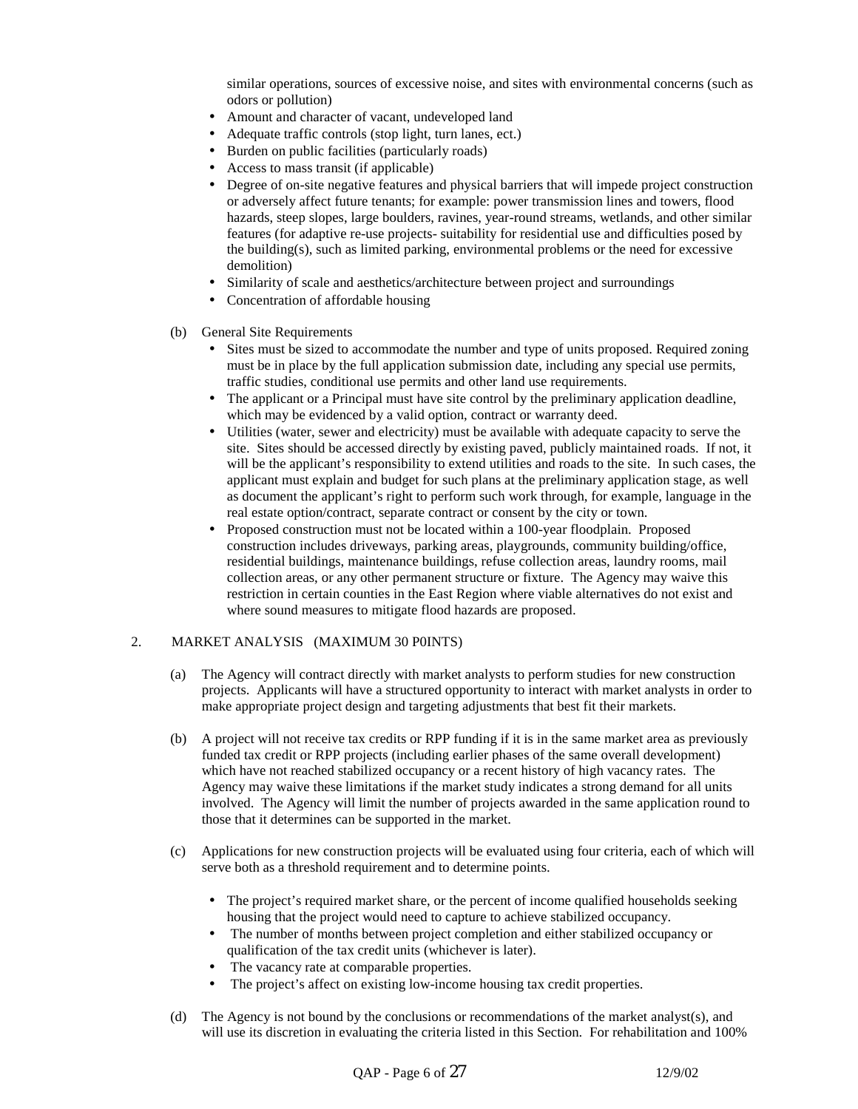similar operations, sources of excessive noise, and sites with environmental concerns (such as odors or pollution)

- Amount and character of vacant, undeveloped land
- Adequate traffic controls (stop light, turn lanes, ect.)
- Burden on public facilities (particularly roads)
- Access to mass transit (if applicable)
- Degree of on-site negative features and physical barriers that will impede project construction or adversely affect future tenants; for example: power transmission lines and towers, flood hazards, steep slopes, large boulders, ravines, year-round streams, wetlands, and other similar features (for adaptive re-use projects- suitability for residential use and difficulties posed by the building(s), such as limited parking, environmental problems or the need for excessive demolition)
- Similarity of scale and aesthetics/architecture between project and surroundings
- Concentration of affordable housing
- (b) General Site Requirements
	- Sites must be sized to accommodate the number and type of units proposed. Required zoning must be in place by the full application submission date, including any special use permits, traffic studies, conditional use permits and other land use requirements.
	- The applicant or a Principal must have site control by the preliminary application deadline, which may be evidenced by a valid option, contract or warranty deed.
	- Utilities (water, sewer and electricity) must be available with adequate capacity to serve the site. Sites should be accessed directly by existing paved, publicly maintained roads. If not, it will be the applicant's responsibility to extend utilities and roads to the site. In such cases, the applicant must explain and budget for such plans at the preliminary application stage, as well as document the applicant's right to perform such work through, for example, language in the real estate option/contract, separate contract or consent by the city or town.
	- Proposed construction must not be located within a 100-year floodplain. Proposed construction includes driveways, parking areas, playgrounds, community building/office, residential buildings, maintenance buildings, refuse collection areas, laundry rooms, mail collection areas, or any other permanent structure or fixture. The Agency may waive this restriction in certain counties in the East Region where viable alternatives do not exist and where sound measures to mitigate flood hazards are proposed.

#### 2. MARKET ANALYSIS (MAXIMUM 30 P0INTS)

- (a) The Agency will contract directly with market analysts to perform studies for new construction projects. Applicants will have a structured opportunity to interact with market analysts in order to make appropriate project design and targeting adjustments that best fit their markets.
- (b) A project will not receive tax credits or RPP funding if it is in the same market area as previously funded tax credit or RPP projects (including earlier phases of the same overall development) which have not reached stabilized occupancy or a recent history of high vacancy rates. The Agency may waive these limitations if the market study indicates a strong demand for all units involved. The Agency will limit the number of projects awarded in the same application round to those that it determines can be supported in the market.
- (c) Applications for new construction projects will be evaluated using four criteria, each of which will serve both as a threshold requirement and to determine points.
	- The project's required market share, or the percent of income qualified households seeking housing that the project would need to capture to achieve stabilized occupancy.
	- The number of months between project completion and either stabilized occupancy or qualification of the tax credit units (whichever is later).
	- The vacancy rate at comparable properties.
	- The project's affect on existing low-income housing tax credit properties.
- (d) The Agency is not bound by the conclusions or recommendations of the market analyst(s), and will use its discretion in evaluating the criteria listed in this Section. For rehabilitation and 100%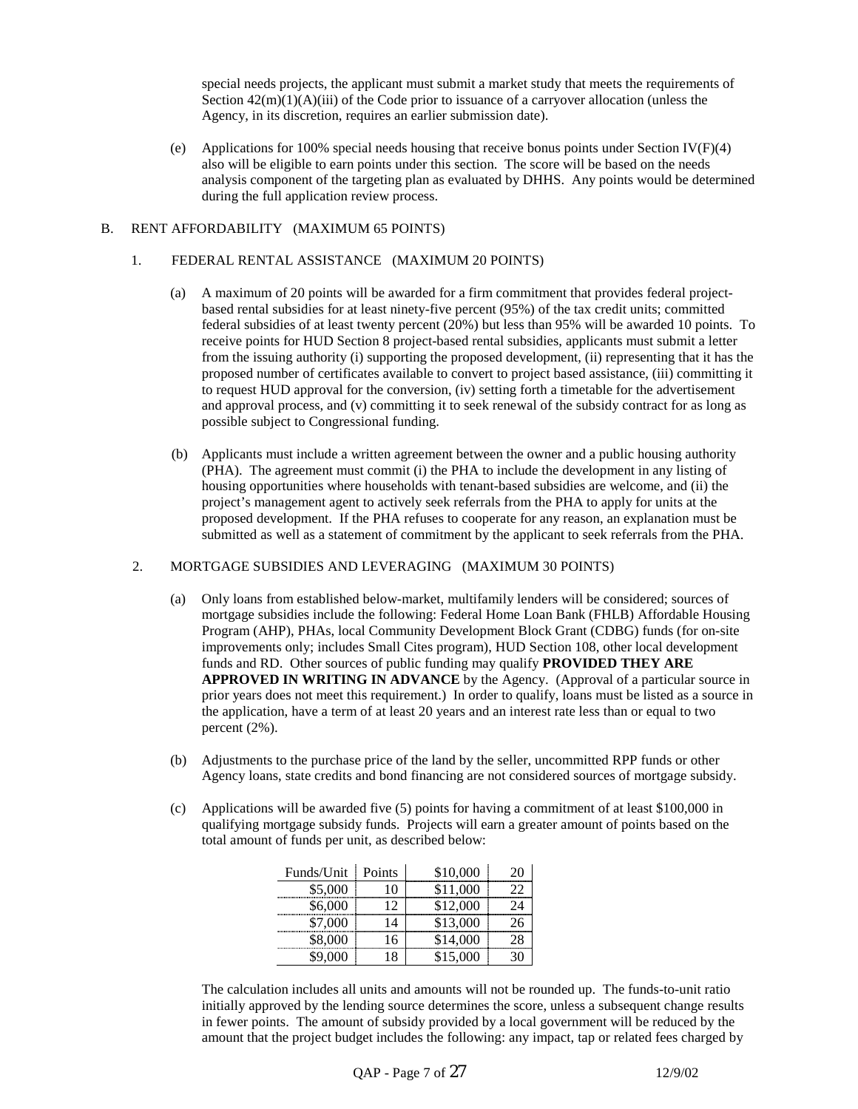special needs projects, the applicant must submit a market study that meets the requirements of Section  $42(m)(1)(A)(iii)$  of the Code prior to issuance of a carryover allocation (unless the Agency, in its discretion, requires an earlier submission date).

(e) Applications for 100% special needs housing that receive bonus points under Section IV(F)(4) also will be eligible to earn points under this section. The score will be based on the needs analysis component of the targeting plan as evaluated by DHHS. Any points would be determined during the full application review process.

#### B. RENT AFFORDABILITY (MAXIMUM 65 POINTS)

#### 1. FEDERAL RENTAL ASSISTANCE (MAXIMUM 20 POINTS)

- (a) A maximum of 20 points will be awarded for a firm commitment that provides federal projectbased rental subsidies for at least ninety-five percent (95%) of the tax credit units; committed federal subsidies of at least twenty percent (20%) but less than 95% will be awarded 10 points. To receive points for HUD Section 8 project-based rental subsidies, applicants must submit a letter from the issuing authority (i) supporting the proposed development, (ii) representing that it has the proposed number of certificates available to convert to project based assistance, (iii) committing it to request HUD approval for the conversion, (iv) setting forth a timetable for the advertisement and approval process, and (v) committing it to seek renewal of the subsidy contract for as long as possible subject to Congressional funding.
- (b) Applicants must include a written agreement between the owner and a public housing authority (PHA). The agreement must commit (i) the PHA to include the development in any listing of housing opportunities where households with tenant-based subsidies are welcome, and (ii) the project's management agent to actively seek referrals from the PHA to apply for units at the proposed development. If the PHA refuses to cooperate for any reason, an explanation must be submitted as well as a statement of commitment by the applicant to seek referrals from the PHA.

#### 2. MORTGAGE SUBSIDIES AND LEVERAGING (MAXIMUM 30 POINTS)

- (a) Only loans from established below-market, multifamily lenders will be considered; sources of mortgage subsidies include the following: Federal Home Loan Bank (FHLB) Affordable Housing Program (AHP), PHAs, local Community Development Block Grant (CDBG) funds (for on-site improvements only; includes Small Cites program), HUD Section 108, other local development funds and RD. Other sources of public funding may qualify **PROVIDED THEY ARE APPROVED IN WRITING IN ADVANCE** by the Agency. (Approval of a particular source in prior years does not meet this requirement.) In order to qualify, loans must be listed as a source in the application, have a term of at least 20 years and an interest rate less than or equal to two percent (2%).
- (b) Adjustments to the purchase price of the land by the seller, uncommitted RPP funds or other Agency loans, state credits and bond financing are not considered sources of mortgage subsidy.
- (c) Applications will be awarded five (5) points for having a commitment of at least \$100,000 in qualifying mortgage subsidy funds. Projects will earn a greater amount of points based on the total amount of funds per unit, as described below:

| Funds/Unit | Points | \$10,000 | 20 |
|------------|--------|----------|----|
| \$5,000    |        | \$11,000 | ,, |
| \$6.000    | 12     | \$12,000 | 24 |
| \$7,000    | Δ      | \$13,000 |    |
| \$8,000    | '6     | \$14,000 | 2Х |
| 9 000      |        | \$15,000 |    |

The calculation includes all units and amounts will not be rounded up. The funds-to-unit ratio initially approved by the lending source determines the score, unless a subsequent change results in fewer points. The amount of subsidy provided by a local government will be reduced by the amount that the project budget includes the following: any impact, tap or related fees charged by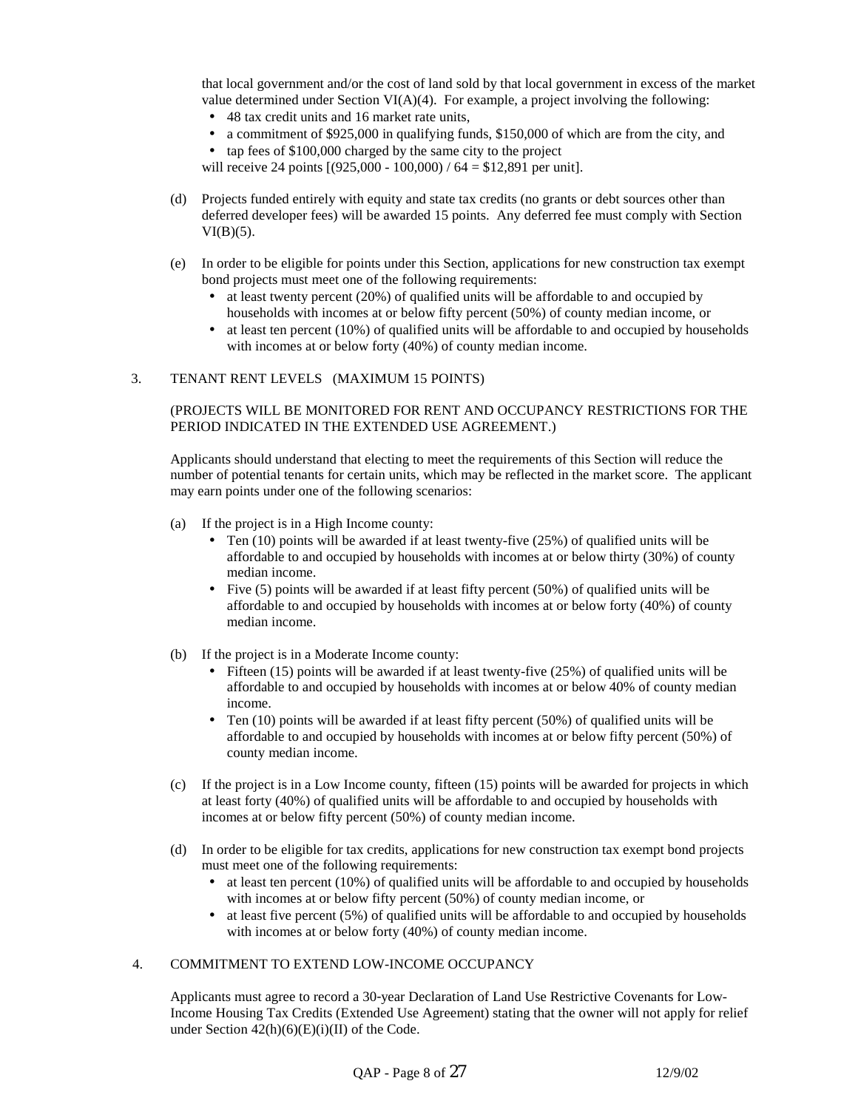that local government and/or the cost of land sold by that local government in excess of the market value determined under Section VI(A)(4). For example, a project involving the following:

- 48 tax credit units and 16 market rate units,
- a commitment of \$925,000 in qualifying funds, \$150,000 of which are from the city, and
- tap fees of \$100,000 charged by the same city to the project

will receive 24 points  $[(925,000 - 100,000) / 64 = $12,891$  per unit].

- (d) Projects funded entirely with equity and state tax credits (no grants or debt sources other than deferred developer fees) will be awarded 15 points. Any deferred fee must comply with Section  $VI(B)(5)$ .
- (e) In order to be eligible for points under this Section, applications for new construction tax exempt bond projects must meet one of the following requirements:
	- at least twenty percent (20%) of qualified units will be affordable to and occupied by households with incomes at or below fifty percent (50%) of county median income, or
	- at least ten percent (10%) of qualified units will be affordable to and occupied by households with incomes at or below forty (40%) of county median income.

#### 3. TENANT RENT LEVELS (MAXIMUM 15 POINTS)

### (PROJECTS WILL BE MONITORED FOR RENT AND OCCUPANCY RESTRICTIONS FOR THE PERIOD INDICATED IN THE EXTENDED USE AGREEMENT.)

Applicants should understand that electing to meet the requirements of this Section will reduce the number of potential tenants for certain units, which may be reflected in the market score. The applicant may earn points under one of the following scenarios:

- (a) If the project is in a High Income county:
	- Ten  $(10)$  points will be awarded if at least twenty-five  $(25%)$  of qualified units will be affordable to and occupied by households with incomes at or below thirty (30%) of county median income.
	- Five (5) points will be awarded if at least fifty percent (50%) of qualified units will be affordable to and occupied by households with incomes at or below forty (40%) of county median income.
- (b) If the project is in a Moderate Income county:
	- Fifteen (15) points will be awarded if at least twenty-five (25%) of qualified units will be affordable to and occupied by households with incomes at or below 40% of county median income.
	- Ten  $(10)$  points will be awarded if at least fifty percent  $(50%)$  of qualified units will be affordable to and occupied by households with incomes at or below fifty percent (50%) of county median income.
- (c) If the project is in a Low Income county, fifteen (15) points will be awarded for projects in which at least forty (40%) of qualified units will be affordable to and occupied by households with incomes at or below fifty percent (50%) of county median income.
- (d) In order to be eligible for tax credits, applications for new construction tax exempt bond projects must meet one of the following requirements:
	- $\bullet$  at least ten percent (10%) of qualified units will be affordable to and occupied by households with incomes at or below fifty percent (50%) of county median income, or
	- at least five percent (5%) of qualified units will be affordable to and occupied by households with incomes at or below forty (40%) of county median income.

#### 4. COMMITMENT TO EXTEND LOW-INCOME OCCUPANCY

Applicants must agree to record a 30-year Declaration of Land Use Restrictive Covenants for Low-Income Housing Tax Credits (Extended Use Agreement) stating that the owner will not apply for relief under Section  $42(h)(6)(E)(i)(II)$  of the Code.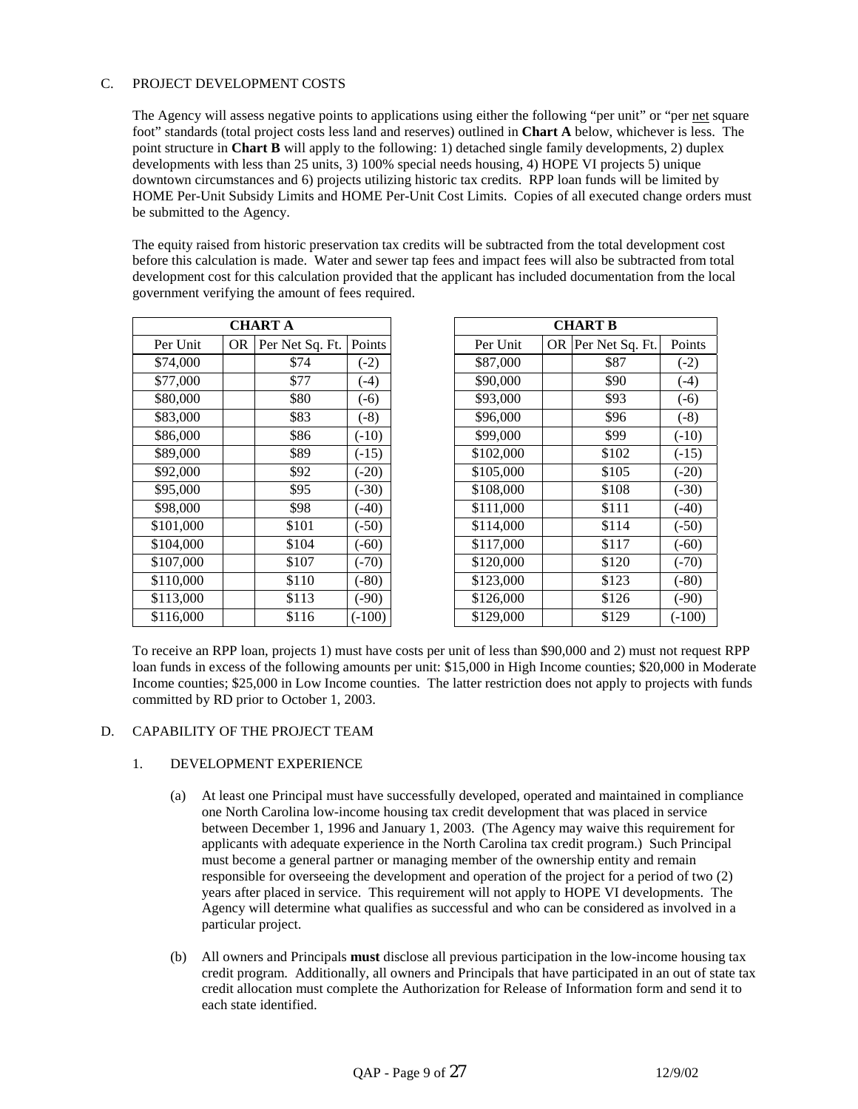## C. PROJECT DEVELOPMENT COSTS

The Agency will assess negative points to applications using either the following "per unit" or "per net square foot" standards (total project costs less land and reserves) outlined in **Chart A** below, whichever is less. The point structure in **Chart B** will apply to the following: 1) detached single family developments, 2) duplex developments with less than 25 units, 3) 100% special needs housing, 4) HOPE VI projects 5) unique downtown circumstances and 6) projects utilizing historic tax credits. RPP loan funds will be limited by HOME Per-Unit Subsidy Limits and HOME Per-Unit Cost Limits. Copies of all executed change orders must be submitted to the Agency.

The equity raised from historic preservation tax credits will be subtracted from the total development cost before this calculation is made. Water and sewer tap fees and impact fees will also be subtracted from total development cost for this calculation provided that the applicant has included documentation from the local government verifying the amount of fees required.

| <b>CHART A</b> |    |                 |          |  |  |  |
|----------------|----|-----------------|----------|--|--|--|
| Per Unit       | OR | Per Net Sq. Ft. | Points   |  |  |  |
| \$74,000       |    | \$74            | $(-2)$   |  |  |  |
| \$77,000       |    | \$77            | $(-4)$   |  |  |  |
| \$80,000       |    | \$80            | $(-6)$   |  |  |  |
| \$83,000       |    | \$83            | $(-8)$   |  |  |  |
| \$86,000       |    | \$86            | $(-10)$  |  |  |  |
| \$89,000       |    | \$89            | $(-15)$  |  |  |  |
| \$92,000       |    | \$92            | $(-20)$  |  |  |  |
| \$95,000       |    | \$95            | $(-30)$  |  |  |  |
| \$98,000       |    | \$98            | $(-40)$  |  |  |  |
| \$101,000      |    | \$101           | $(-50)$  |  |  |  |
| \$104,000      |    | \$104           | $(-60)$  |  |  |  |
| \$107,000      |    | \$107           | $(-70)$  |  |  |  |
| \$110,000      |    | \$110           | $(-80)$  |  |  |  |
| \$113,000      |    | \$113           | $(-90)$  |  |  |  |
| \$116,000      |    | \$116           | $(-100)$ |  |  |  |

| <b>CHART A</b> |     |                 | <b>CHART B</b> |           |  |                    |          |
|----------------|-----|-----------------|----------------|-----------|--|--------------------|----------|
| Per Unit       | OR. | Per Net Sq. Ft. | Points         | Per Unit  |  | OR Per Net Sq. Ft. | Points   |
| \$74,000       |     | \$74            | $(-2)$         | \$87,000  |  | \$87               | $(-2)$   |
| \$77,000       |     | \$77            | $(-4)$         | \$90,000  |  | \$90               | $(-4)$   |
| \$80,000       |     | \$80            | $(-6)$         | \$93,000  |  | \$93               | $(-6)$   |
| \$83,000       |     | \$83            | $(-8)$         | \$96,000  |  | \$96               | $(-8)$   |
| \$86,000       |     | \$86            | $(-10)$        | \$99,000  |  | \$99               | $(-10)$  |
| \$89,000       |     | \$89            | $(-15)$        | \$102,000 |  | \$102              | $(-15)$  |
| \$92,000       |     | \$92            | $(-20)$        | \$105,000 |  | \$105              | $(-20)$  |
| \$95,000       |     | \$95            | $(-30)$        | \$108,000 |  | \$108              | $(-30)$  |
| \$98,000       |     | \$98            | $(-40)$        | \$111,000 |  | \$111              | $(-40)$  |
| \$101,000      |     | \$101           | $(-50)$        | \$114,000 |  | \$114              | $(-50)$  |
| \$104,000      |     | \$104           | $(-60)$        | \$117,000 |  | \$117              | $(-60)$  |
| \$107,000      |     | \$107           | $(-70)$        | \$120,000 |  | \$120              | $(-70)$  |
| \$110,000      |     | \$110           | $(-80)$        | \$123,000 |  | \$123              | $(-80)$  |
| \$113,000      |     | \$113           | $(-90)$        | \$126,000 |  | \$126              | $(-90)$  |
| \$116,000      |     | \$116           | $(-100)$       | \$129,000 |  | \$129              | $(-100)$ |

To receive an RPP loan, projects 1) must have costs per unit of less than \$90,000 and 2) must not request RPP loan funds in excess of the following amounts per unit: \$15,000 in High Income counties; \$20,000 in Moderate Income counties; \$25,000 in Low Income counties. The latter restriction does not apply to projects with funds committed by RD prior to October 1, 2003.

### D. CAPABILITY OF THE PROJECT TEAM

### 1. DEVELOPMENT EXPERIENCE

- (a) At least one Principal must have successfully developed, operated and maintained in compliance one North Carolina low-income housing tax credit development that was placed in service between December 1, 1996 and January 1, 2003. (The Agency may waive this requirement for applicants with adequate experience in the North Carolina tax credit program.) Such Principal must become a general partner or managing member of the ownership entity and remain responsible for overseeing the development and operation of the project for a period of two (2) years after placed in service. This requirement will not apply to HOPE VI developments. The Agency will determine what qualifies as successful and who can be considered as involved in a particular project.
- (b) All owners and Principals **must** disclose all previous participation in the low-income housing tax credit program. Additionally, all owners and Principals that have participated in an out of state tax credit allocation must complete the Authorization for Release of Information form and send it to each state identified.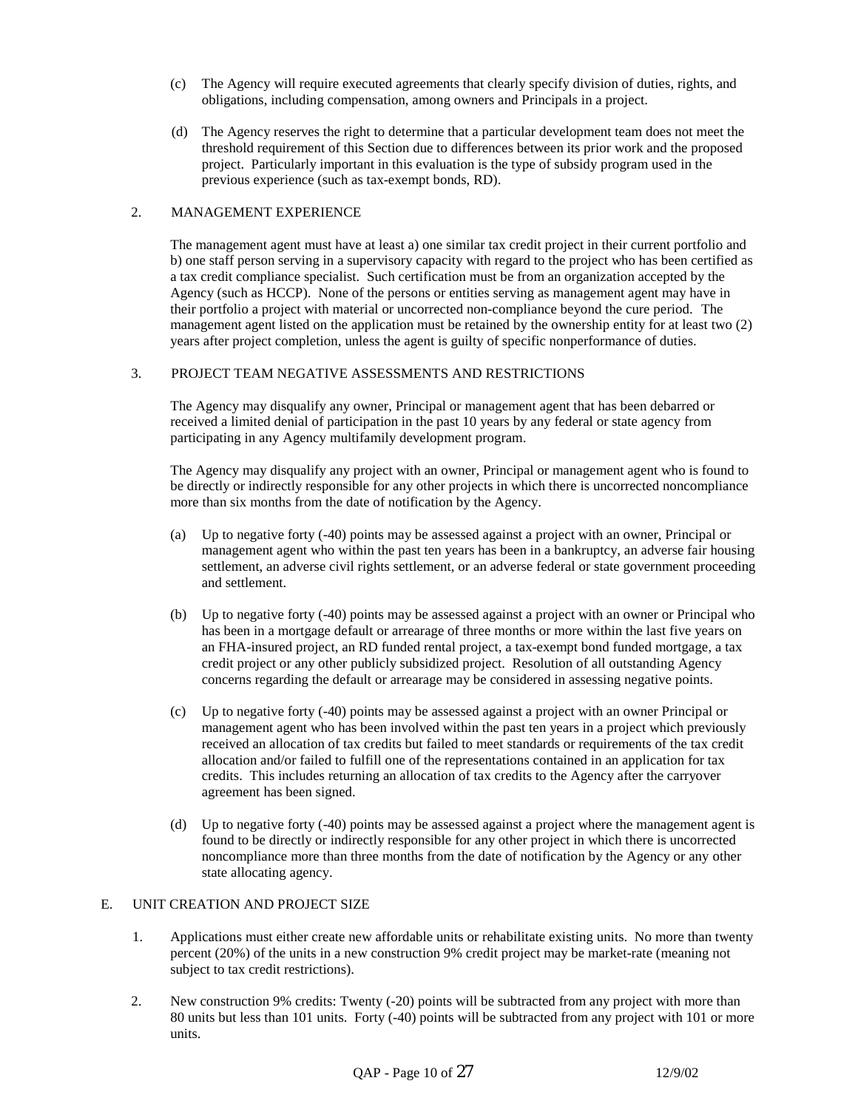- (c) The Agency will require executed agreements that clearly specify division of duties, rights, and obligations, including compensation, among owners and Principals in a project.
- (d) The Agency reserves the right to determine that a particular development team does not meet the threshold requirement of this Section due to differences between its prior work and the proposed project. Particularly important in this evaluation is the type of subsidy program used in the previous experience (such as tax-exempt bonds, RD).

### 2. MANAGEMENT EXPERIENCE

The management agent must have at least a) one similar tax credit project in their current portfolio and b) one staff person serving in a supervisory capacity with regard to the project who has been certified as a tax credit compliance specialist. Such certification must be from an organization accepted by the Agency (such as HCCP). None of the persons or entities serving as management agent may have in their portfolio a project with material or uncorrected non-compliance beyond the cure period. The management agent listed on the application must be retained by the ownership entity for at least two (2) years after project completion, unless the agent is guilty of specific nonperformance of duties.

#### 3. PROJECT TEAM NEGATIVE ASSESSMENTS AND RESTRICTIONS

The Agency may disqualify any owner, Principal or management agent that has been debarred or received a limited denial of participation in the past 10 years by any federal or state agency from participating in any Agency multifamily development program.

The Agency may disqualify any project with an owner, Principal or management agent who is found to be directly or indirectly responsible for any other projects in which there is uncorrected noncompliance more than six months from the date of notification by the Agency.

- (a) Up to negative forty (-40) points may be assessed against a project with an owner, Principal or management agent who within the past ten years has been in a bankruptcy, an adverse fair housing settlement, an adverse civil rights settlement, or an adverse federal or state government proceeding and settlement.
- (b) Up to negative forty (-40) points may be assessed against a project with an owner or Principal who has been in a mortgage default or arrearage of three months or more within the last five years on an FHA-insured project, an RD funded rental project, a tax-exempt bond funded mortgage, a tax credit project or any other publicly subsidized project. Resolution of all outstanding Agency concerns regarding the default or arrearage may be considered in assessing negative points.
- (c) Up to negative forty (-40) points may be assessed against a project with an owner Principal or management agent who has been involved within the past ten years in a project which previously received an allocation of tax credits but failed to meet standards or requirements of the tax credit allocation and/or failed to fulfill one of the representations contained in an application for tax credits. This includes returning an allocation of tax credits to the Agency after the carryover agreement has been signed.
- (d) Up to negative forty (-40) points may be assessed against a project where the management agent is found to be directly or indirectly responsible for any other project in which there is uncorrected noncompliance more than three months from the date of notification by the Agency or any other state allocating agency.

### E. UNIT CREATION AND PROJECT SIZE

- 1. Applications must either create new affordable units or rehabilitate existing units. No more than twenty percent (20%) of the units in a new construction 9% credit project may be market-rate (meaning not subject to tax credit restrictions).
- 2. New construction 9% credits: Twenty (-20) points will be subtracted from any project with more than 80 units but less than 101 units. Forty (-40) points will be subtracted from any project with 101 or more units.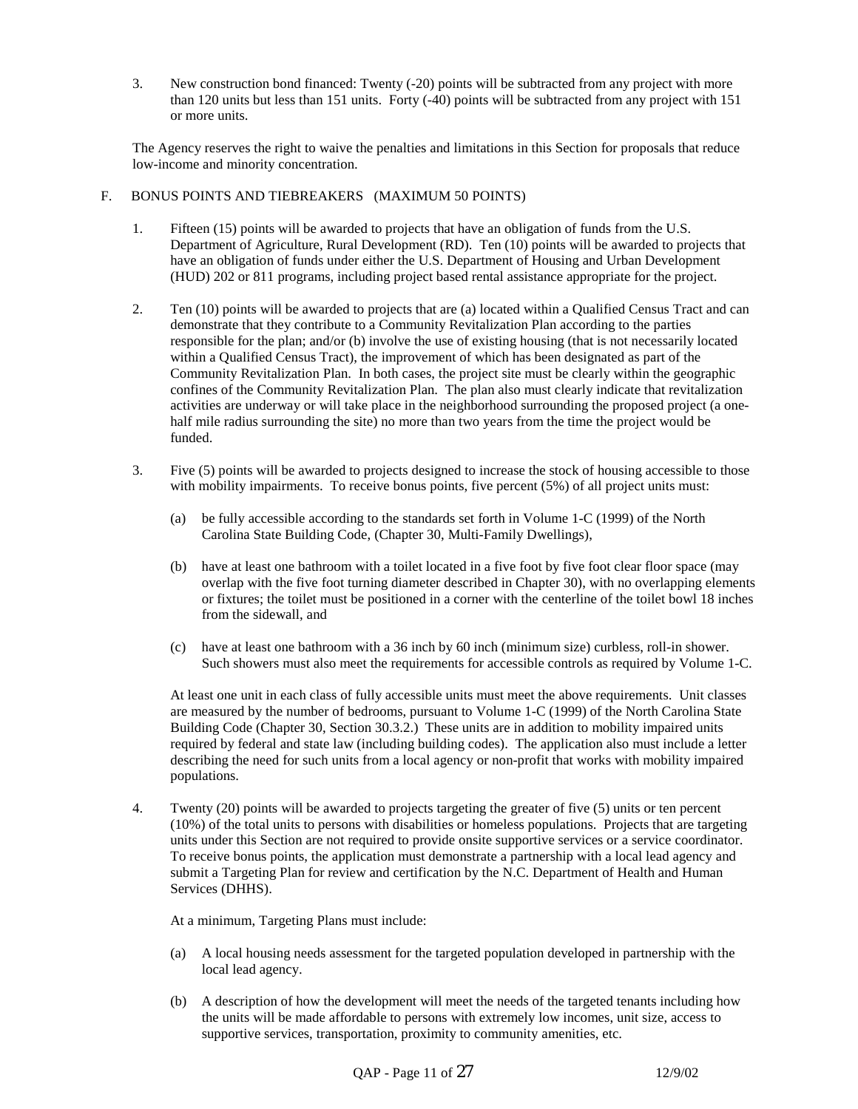3. New construction bond financed: Twenty (-20) points will be subtracted from any project with more than 120 units but less than 151 units. Forty (-40) points will be subtracted from any project with 151 or more units.

The Agency reserves the right to waive the penalties and limitations in this Section for proposals that reduce low-income and minority concentration.

- F. BONUS POINTS AND TIEBREAKERS (MAXIMUM 50 POINTS)
	- 1. Fifteen (15) points will be awarded to projects that have an obligation of funds from the U.S. Department of Agriculture, Rural Development (RD). Ten (10) points will be awarded to projects that have an obligation of funds under either the U.S. Department of Housing and Urban Development (HUD) 202 or 811 programs, including project based rental assistance appropriate for the project.
	- 2. Ten (10) points will be awarded to projects that are (a) located within a Qualified Census Tract and can demonstrate that they contribute to a Community Revitalization Plan according to the parties responsible for the plan; and/or (b) involve the use of existing housing (that is not necessarily located within a Qualified Census Tract), the improvement of which has been designated as part of the Community Revitalization Plan. In both cases, the project site must be clearly within the geographic confines of the Community Revitalization Plan. The plan also must clearly indicate that revitalization activities are underway or will take place in the neighborhood surrounding the proposed project (a onehalf mile radius surrounding the site) no more than two years from the time the project would be funded.
	- 3. Five (5) points will be awarded to projects designed to increase the stock of housing accessible to those with mobility impairments. To receive bonus points, five percent (5%) of all project units must:
		- (a) be fully accessible according to the standards set forth in Volume 1-C (1999) of the North Carolina State Building Code, (Chapter 30, Multi-Family Dwellings),
		- (b) have at least one bathroom with a toilet located in a five foot by five foot clear floor space (may overlap with the five foot turning diameter described in Chapter 30), with no overlapping elements or fixtures; the toilet must be positioned in a corner with the centerline of the toilet bowl 18 inches from the sidewall, and
		- (c) have at least one bathroom with a 36 inch by 60 inch (minimum size) curbless, roll-in shower. Such showers must also meet the requirements for accessible controls as required by Volume 1-C.

At least one unit in each class of fully accessible units must meet the above requirements. Unit classes are measured by the number of bedrooms, pursuant to Volume 1-C (1999) of the North Carolina State Building Code (Chapter 30, Section 30.3.2.) These units are in addition to mobility impaired units required by federal and state law (including building codes). The application also must include a letter describing the need for such units from a local agency or non-profit that works with mobility impaired populations.

4. Twenty (20) points will be awarded to projects targeting the greater of five (5) units or ten percent (10%) of the total units to persons with disabilities or homeless populations. Projects that are targeting units under this Section are not required to provide onsite supportive services or a service coordinator. To receive bonus points, the application must demonstrate a partnership with a local lead agency and submit a Targeting Plan for review and certification by the N.C. Department of Health and Human Services (DHHS).

At a minimum, Targeting Plans must include:

- (a) A local housing needs assessment for the targeted population developed in partnership with the local lead agency.
- (b) A description of how the development will meet the needs of the targeted tenants including how the units will be made affordable to persons with extremely low incomes, unit size, access to supportive services, transportation, proximity to community amenities, etc.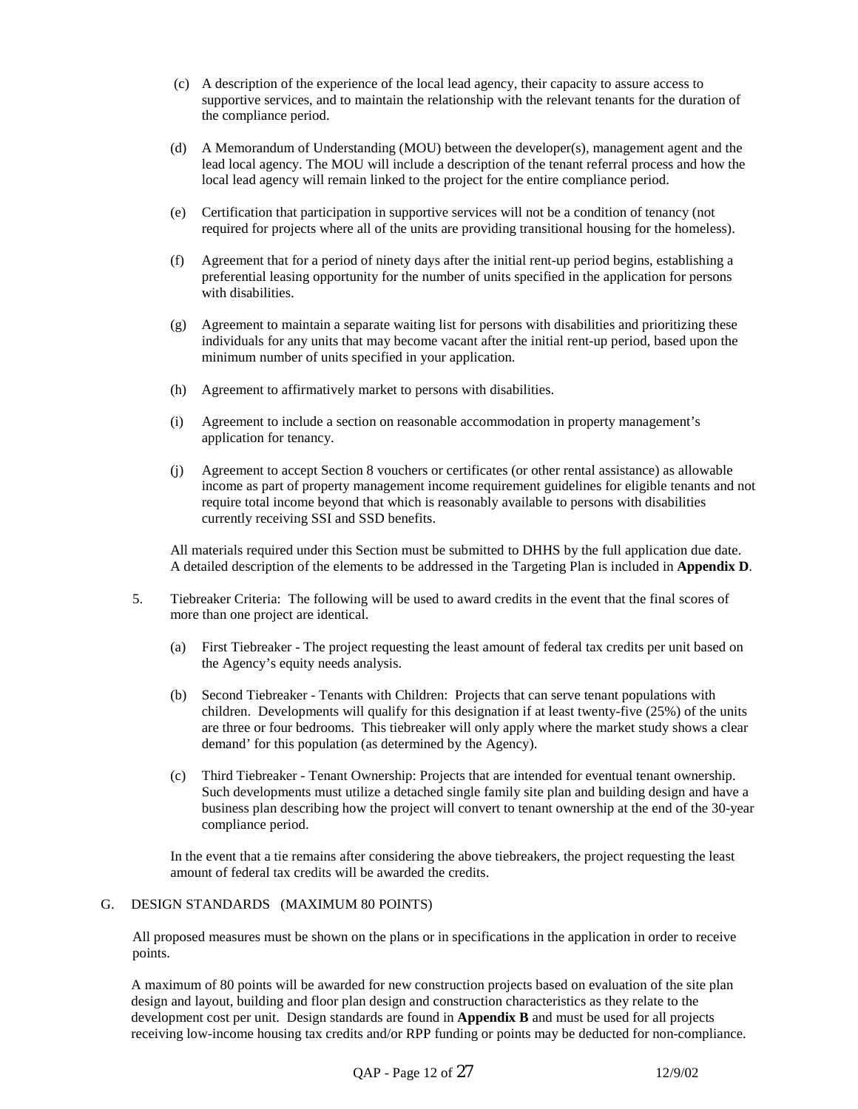- (c) A description of the experience of the local lead agency, their capacity to assure access to supportive services, and to maintain the relationship with the relevant tenants for the duration of the compliance period.
- (d) A Memorandum of Understanding (MOU) between the developer(s), management agent and the lead local agency. The MOU will include a description of the tenant referral process and how the local lead agency will remain linked to the project for the entire compliance period.
- (e) Certification that participation in supportive services will not be a condition of tenancy (not required for projects where all of the units are providing transitional housing for the homeless).
- (f) Agreement that for a period of ninety days after the initial rent-up period begins, establishing a preferential leasing opportunity for the number of units specified in the application for persons with disabilities.
- (g) Agreement to maintain a separate waiting list for persons with disabilities and prioritizing these individuals for any units that may become vacant after the initial rent-up period, based upon the minimum number of units specified in your application.
- (h) Agreement to affirmatively market to persons with disabilities.
- (i) Agreement to include a section on reasonable accommodation in property management's application for tenancy.
- (j) Agreement to accept Section 8 vouchers or certificates (or other rental assistance) as allowable income as part of property management income requirement guidelines for eligible tenants and not require total income beyond that which is reasonably available to persons with disabilities currently receiving SSI and SSD benefits.

All materials required under this Section must be submitted to DHHS by the full application due date. A detailed description of the elements to be addressed in the Targeting Plan is included in **Appendix D**.

- 5. Tiebreaker Criteria: The following will be used to award credits in the event that the final scores of more than one project are identical.
	- (a) First Tiebreaker The project requesting the least amount of federal tax credits per unit based on the Agency's equity needs analysis.
	- (b) Second Tiebreaker Tenants with Children: Projects that can serve tenant populations with children. Developments will qualify for this designation if at least twenty-five (25%) of the units are three or four bedrooms. This tiebreaker will only apply where the market study shows a clear demand' for this population (as determined by the Agency).
	- (c) Third Tiebreaker Tenant Ownership: Projects that are intended for eventual tenant ownership. Such developments must utilize a detached single family site plan and building design and have a business plan describing how the project will convert to tenant ownership at the end of the 30-year compliance period.

In the event that a tie remains after considering the above tiebreakers, the project requesting the least amount of federal tax credits will be awarded the credits.

### G. DESIGN STANDARDS (MAXIMUM 80 POINTS)

All proposed measures must be shown on the plans or in specifications in the application in order to receive points.

A maximum of 80 points will be awarded for new construction projects based on evaluation of the site plan design and layout, building and floor plan design and construction characteristics as they relate to the development cost per unit. Design standards are found in **Appendix B** and must be used for all projects receiving low-income housing tax credits and/or RPP funding or points may be deducted for non-compliance.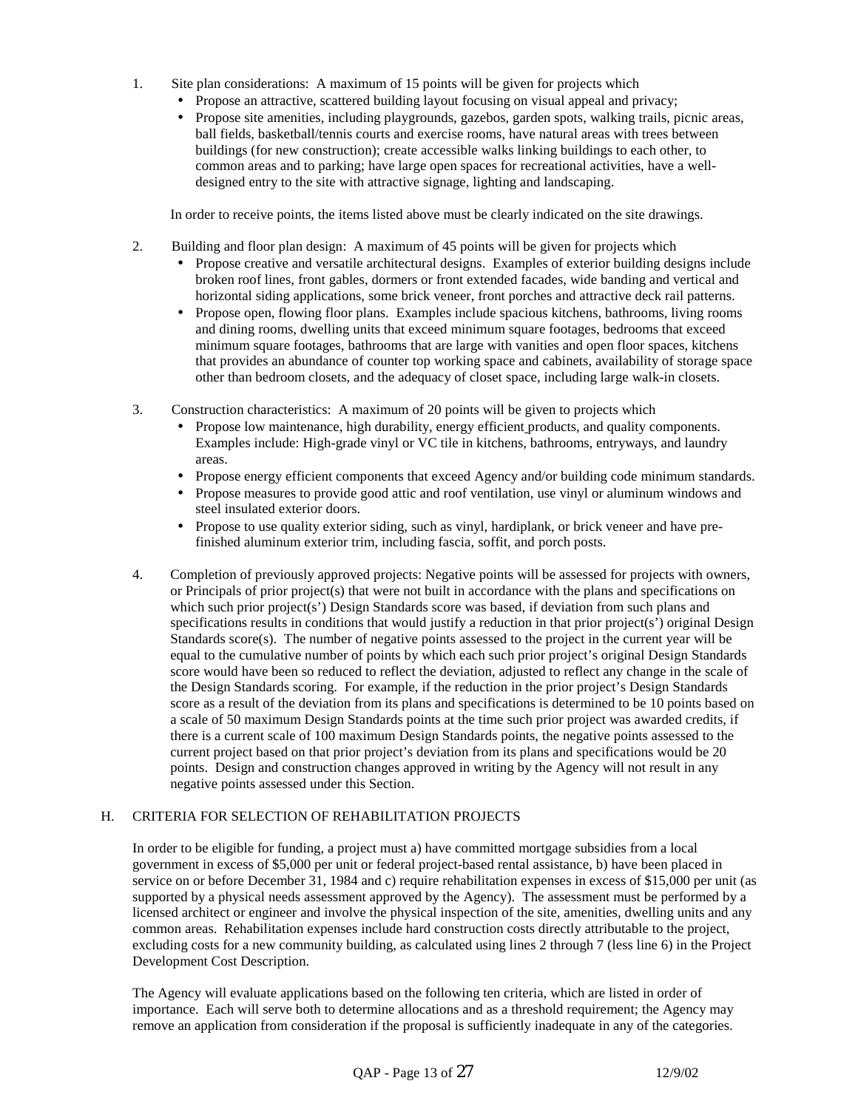- 1. Site plan considerations: A maximum of 15 points will be given for projects which
	- Propose an attractive, scattered building layout focusing on visual appeal and privacy;
	- Propose site amenities, including playgrounds, gazebos, garden spots, walking trails, picnic areas, ball fields, basketball/tennis courts and exercise rooms, have natural areas with trees between buildings (for new construction); create accessible walks linking buildings to each other, to common areas and to parking; have large open spaces for recreational activities, have a welldesigned entry to the site with attractive signage, lighting and landscaping.

In order to receive points, the items listed above must be clearly indicated on the site drawings.

- 2. Building and floor plan design: A maximum of 45 points will be given for projects which
	- Propose creative and versatile architectural designs. Examples of exterior building designs include broken roof lines, front gables, dormers or front extended facades, wide banding and vertical and horizontal siding applications, some brick veneer, front porches and attractive deck rail patterns.
	- Propose open, flowing floor plans. Examples include spacious kitchens, bathrooms, living rooms and dining rooms, dwelling units that exceed minimum square footages, bedrooms that exceed minimum square footages, bathrooms that are large with vanities and open floor spaces, kitchens that provides an abundance of counter top working space and cabinets, availability of storage space other than bedroom closets, and the adequacy of closet space, including large walk-in closets.
- 3. Construction characteristics: A maximum of 20 points will be given to projects which
	- Propose low maintenance, high durability, energy efficient products, and quality components. Examples include: High-grade vinyl or VC tile in kitchens, bathrooms, entryways, and laundry areas.
	- Propose energy efficient components that exceed Agency and/or building code minimum standards.
	- Propose measures to provide good attic and roof ventilation, use vinyl or aluminum windows and steel insulated exterior doors.
	- Propose to use quality exterior siding, such as vinyl, hardiplank, or brick veneer and have prefinished aluminum exterior trim, including fascia, soffit, and porch posts.
- 4. Completion of previously approved projects: Negative points will be assessed for projects with owners, or Principals of prior project(s) that were not built in accordance with the plans and specifications on which such prior project(s') Design Standards score was based, if deviation from such plans and specifications results in conditions that would justify a reduction in that prior project(s') original Design Standards score $(s)$ . The number of negative points assessed to the project in the current year will be equal to the cumulative number of points by which each such prior project's original Design Standards score would have been so reduced to reflect the deviation, adjusted to reflect any change in the scale of the Design Standards scoring. For example, if the reduction in the prior project's Design Standards score as a result of the deviation from its plans and specifications is determined to be 10 points based on a scale of 50 maximum Design Standards points at the time such prior project was awarded credits, if there is a current scale of 100 maximum Design Standards points, the negative points assessed to the current project based on that prior project's deviation from its plans and specifications would be 20 points. Design and construction changes approved in writing by the Agency will not result in any negative points assessed under this Section.

# H. CRITERIA FOR SELECTION OF REHABILITATION PROJECTS

In order to be eligible for funding, a project must a) have committed mortgage subsidies from a local government in excess of \$5,000 per unit or federal project-based rental assistance, b) have been placed in service on or before December 31, 1984 and c) require rehabilitation expenses in excess of \$15,000 per unit (as supported by a physical needs assessment approved by the Agency). The assessment must be performed by a licensed architect or engineer and involve the physical inspection of the site, amenities, dwelling units and any common areas. Rehabilitation expenses include hard construction costs directly attributable to the project, excluding costs for a new community building, as calculated using lines 2 through 7 (less line 6) in the Project Development Cost Description.

The Agency will evaluate applications based on the following ten criteria, which are listed in order of importance. Each will serve both to determine allocations and as a threshold requirement; the Agency may remove an application from consideration if the proposal is sufficiently inadequate in any of the categories.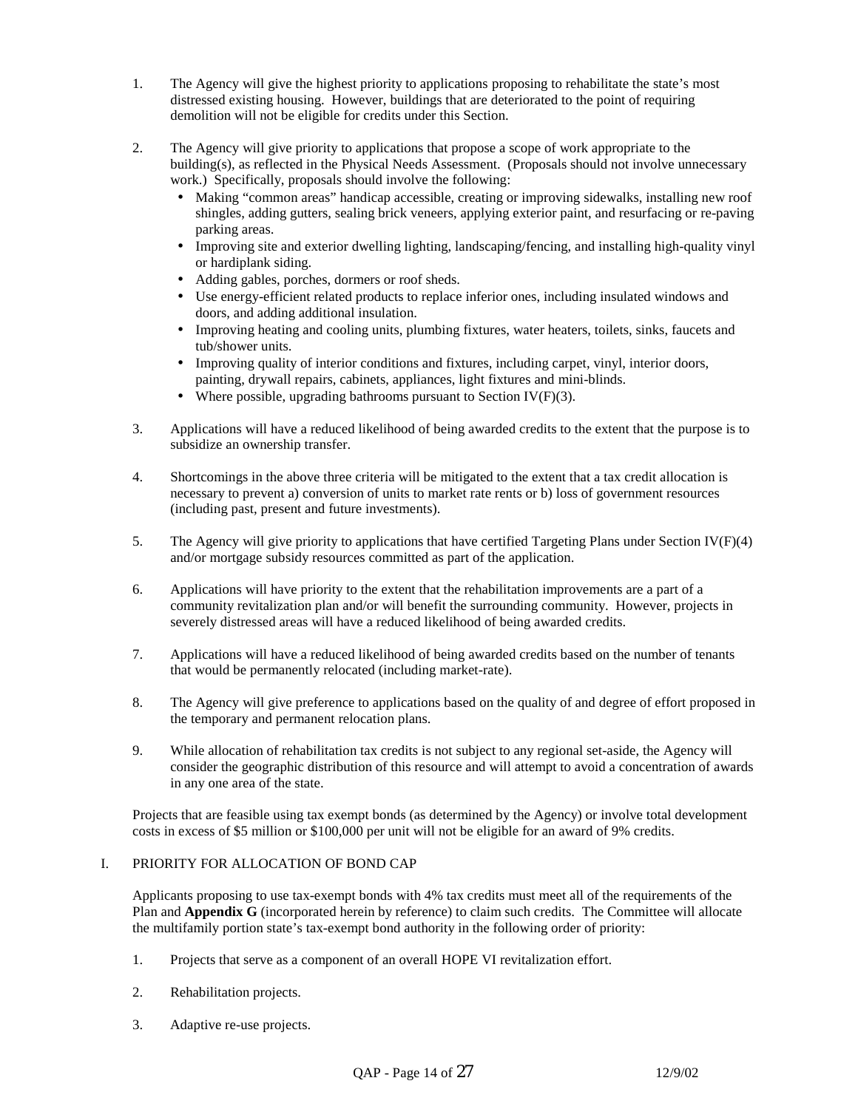- 1. The Agency will give the highest priority to applications proposing to rehabilitate the state's most distressed existing housing. However, buildings that are deteriorated to the point of requiring demolition will not be eligible for credits under this Section.
- 2. The Agency will give priority to applications that propose a scope of work appropriate to the building(s), as reflected in the Physical Needs Assessment. (Proposals should not involve unnecessary work.) Specifically, proposals should involve the following:
	- Making "common areas" handicap accessible, creating or improving sidewalks, installing new roof shingles, adding gutters, sealing brick veneers, applying exterior paint, and resurfacing or re-paving parking areas.
	- Improving site and exterior dwelling lighting, landscaping/fencing, and installing high-quality vinyl or hardiplank siding.
	- Adding gables, porches, dormers or roof sheds.
	- Use energy-efficient related products to replace inferior ones, including insulated windows and doors, and adding additional insulation.
	- Improving heating and cooling units, plumbing fixtures, water heaters, toilets, sinks, faucets and tub/shower units.
	- Improving quality of interior conditions and fixtures, including carpet, vinyl, interior doors, painting, drywall repairs, cabinets, appliances, light fixtures and mini-blinds.
	- Where possible, upgrading bathrooms pursuant to Section IV( $F$ )(3).
- 3. Applications will have a reduced likelihood of being awarded credits to the extent that the purpose is to subsidize an ownership transfer.
- 4. Shortcomings in the above three criteria will be mitigated to the extent that a tax credit allocation is necessary to prevent a) conversion of units to market rate rents or b) loss of government resources (including past, present and future investments).
- 5. The Agency will give priority to applications that have certified Targeting Plans under Section IV(F)(4) and/or mortgage subsidy resources committed as part of the application.
- 6. Applications will have priority to the extent that the rehabilitation improvements are a part of a community revitalization plan and/or will benefit the surrounding community. However, projects in severely distressed areas will have a reduced likelihood of being awarded credits.
- 7. Applications will have a reduced likelihood of being awarded credits based on the number of tenants that would be permanently relocated (including market-rate).
- 8. The Agency will give preference to applications based on the quality of and degree of effort proposed in the temporary and permanent relocation plans.
- 9. While allocation of rehabilitation tax credits is not subject to any regional set-aside, the Agency will consider the geographic distribution of this resource and will attempt to avoid a concentration of awards in any one area of the state.

Projects that are feasible using tax exempt bonds (as determined by the Agency) or involve total development costs in excess of \$5 million or \$100,000 per unit will not be eligible for an award of 9% credits.

### I. PRIORITY FOR ALLOCATION OF BOND CAP

Applicants proposing to use tax-exempt bonds with 4% tax credits must meet all of the requirements of the Plan and **Appendix G** (incorporated herein by reference) to claim such credits. The Committee will allocate the multifamily portion state's tax-exempt bond authority in the following order of priority:

- 1. Projects that serve as a component of an overall HOPE VI revitalization effort.
- 2. Rehabilitation projects.
- 3. Adaptive re-use projects.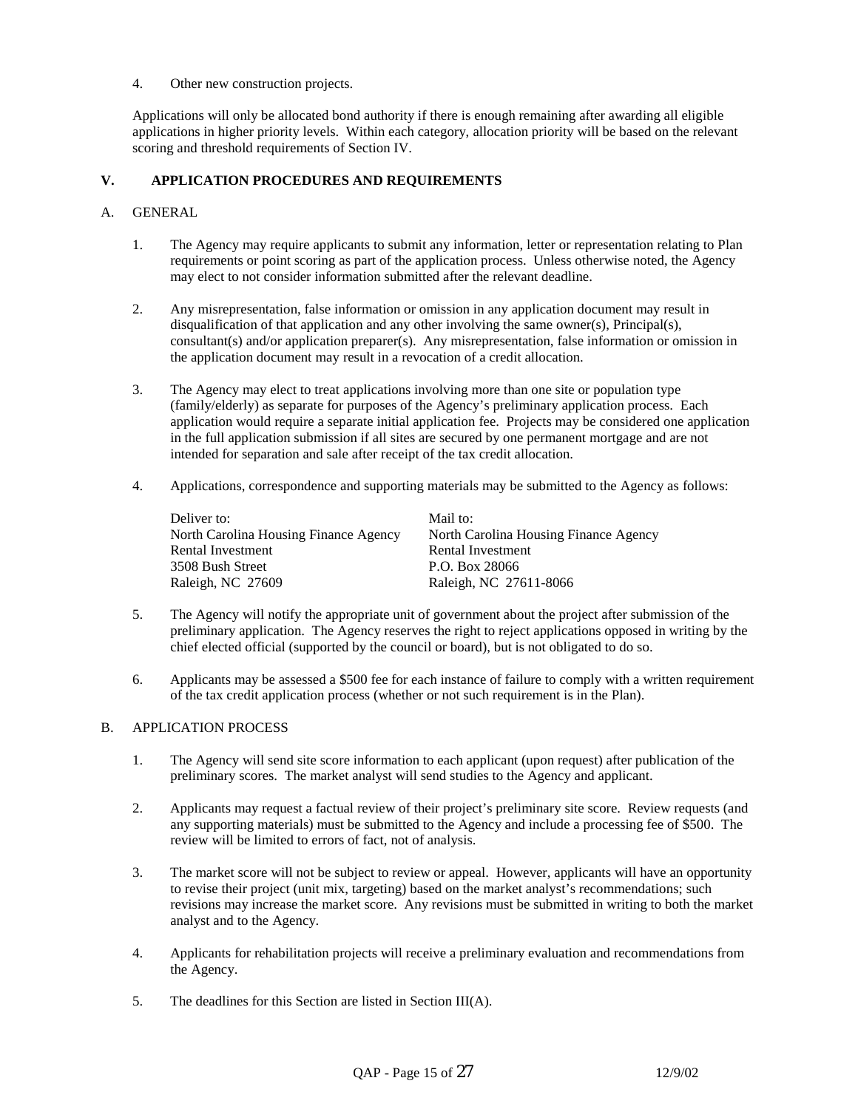4. Other new construction projects.

Applications will only be allocated bond authority if there is enough remaining after awarding all eligible applications in higher priority levels. Within each category, allocation priority will be based on the relevant scoring and threshold requirements of Section IV.

## **V. APPLICATION PROCEDURES AND REQUIREMENTS**

### A. GENERAL

- 1. The Agency may require applicants to submit any information, letter or representation relating to Plan requirements or point scoring as part of the application process. Unless otherwise noted, the Agency may elect to not consider information submitted after the relevant deadline.
- 2. Any misrepresentation, false information or omission in any application document may result in disqualification of that application and any other involving the same owner(s), Principal(s), consultant(s) and/or application preparer(s). Any misrepresentation, false information or omission in the application document may result in a revocation of a credit allocation.
- 3. The Agency may elect to treat applications involving more than one site or population type (family/elderly) as separate for purposes of the Agency's preliminary application process. Each application would require a separate initial application fee. Projects may be considered one application in the full application submission if all sites are secured by one permanent mortgage and are not intended for separation and sale after receipt of the tax credit allocation.
- 4. Applications, correspondence and supporting materials may be submitted to the Agency as follows:

| Deliver to:                           | Mail to:                              |
|---------------------------------------|---------------------------------------|
| North Carolina Housing Finance Agency | North Carolina Housing Finance Agency |
| Rental Investment                     | Rental Investment                     |
| 3508 Bush Street                      | P.O. Box 28066                        |
| Raleigh, NC 27609                     | Raleigh, NC 27611-8066                |

- 5. The Agency will notify the appropriate unit of government about the project after submission of the preliminary application. The Agency reserves the right to reject applications opposed in writing by the chief elected official (supported by the council or board), but is not obligated to do so.
- 6. Applicants may be assessed a \$500 fee for each instance of failure to comply with a written requirement of the tax credit application process (whether or not such requirement is in the Plan).

### B. APPLICATION PROCESS

- 1. The Agency will send site score information to each applicant (upon request) after publication of the preliminary scores. The market analyst will send studies to the Agency and applicant.
- 2. Applicants may request a factual review of their project's preliminary site score. Review requests (and any supporting materials) must be submitted to the Agency and include a processing fee of \$500. The review will be limited to errors of fact, not of analysis.
- 3. The market score will not be subject to review or appeal. However, applicants will have an opportunity to revise their project (unit mix, targeting) based on the market analyst's recommendations; such revisions may increase the market score. Any revisions must be submitted in writing to both the market analyst and to the Agency.
- 4. Applicants for rehabilitation projects will receive a preliminary evaluation and recommendations from the Agency.
- 5. The deadlines for this Section are listed in Section III(A).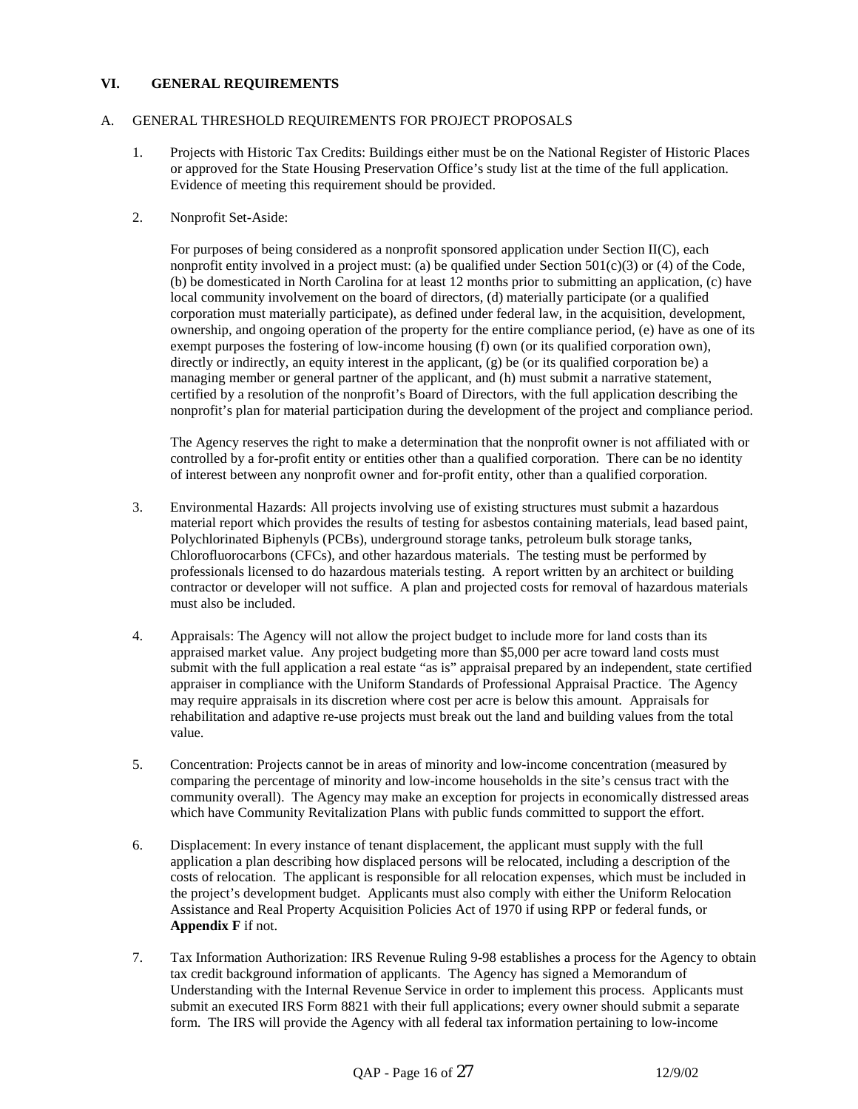## **VI. GENERAL REQUIREMENTS**

### A. GENERAL THRESHOLD REQUIREMENTS FOR PROJECT PROPOSALS

1. Projects with Historic Tax Credits: Buildings either must be on the National Register of Historic Places or approved for the State Housing Preservation Office's study list at the time of the full application. Evidence of meeting this requirement should be provided.

### 2. Nonprofit Set-Aside:

For purposes of being considered as a nonprofit sponsored application under Section II(C), each nonprofit entity involved in a project must: (a) be qualified under Section  $501(c)(3)$  or (4) of the Code, (b) be domesticated in North Carolina for at least 12 months prior to submitting an application, (c) have local community involvement on the board of directors, (d) materially participate (or a qualified corporation must materially participate), as defined under federal law, in the acquisition, development, ownership, and ongoing operation of the property for the entire compliance period, (e) have as one of its exempt purposes the fostering of low-income housing (f) own (or its qualified corporation own), directly or indirectly, an equity interest in the applicant, (g) be (or its qualified corporation be) a managing member or general partner of the applicant, and (h) must submit a narrative statement, certified by a resolution of the nonprofit's Board of Directors, with the full application describing the nonprofit's plan for material participation during the development of the project and compliance period.

The Agency reserves the right to make a determination that the nonprofit owner is not affiliated with or controlled by a for-profit entity or entities other than a qualified corporation. There can be no identity of interest between any nonprofit owner and for-profit entity, other than a qualified corporation.

- 3. Environmental Hazards: All projects involving use of existing structures must submit a hazardous material report which provides the results of testing for asbestos containing materials, lead based paint, Polychlorinated Biphenyls (PCBs), underground storage tanks, petroleum bulk storage tanks, Chlorofluorocarbons (CFCs), and other hazardous materials. The testing must be performed by professionals licensed to do hazardous materials testing. A report written by an architect or building contractor or developer will not suffice. A plan and projected costs for removal of hazardous materials must also be included.
- 4. Appraisals: The Agency will not allow the project budget to include more for land costs than its appraised market value. Any project budgeting more than \$5,000 per acre toward land costs must submit with the full application a real estate "as is" appraisal prepared by an independent, state certified appraiser in compliance with the Uniform Standards of Professional Appraisal Practice. The Agency may require appraisals in its discretion where cost per acre is below this amount. Appraisals for rehabilitation and adaptive re-use projects must break out the land and building values from the total value.
- 5. Concentration: Projects cannot be in areas of minority and low-income concentration (measured by comparing the percentage of minority and low-income households in the site's census tract with the community overall). The Agency may make an exception for projects in economically distressed areas which have Community Revitalization Plans with public funds committed to support the effort.
- 6. Displacement: In every instance of tenant displacement, the applicant must supply with the full application a plan describing how displaced persons will be relocated, including a description of the costs of relocation. The applicant is responsible for all relocation expenses, which must be included in the project's development budget. Applicants must also comply with either the Uniform Relocation Assistance and Real Property Acquisition Policies Act of 1970 if using RPP or federal funds, or **Appendix F** if not.
- 7. Tax Information Authorization: IRS Revenue Ruling 9-98 establishes a process for the Agency to obtain tax credit background information of applicants. The Agency has signed a Memorandum of Understanding with the Internal Revenue Service in order to implement this process. Applicants must submit an executed IRS Form 8821 with their full applications; every owner should submit a separate form. The IRS will provide the Agency with all federal tax information pertaining to low-income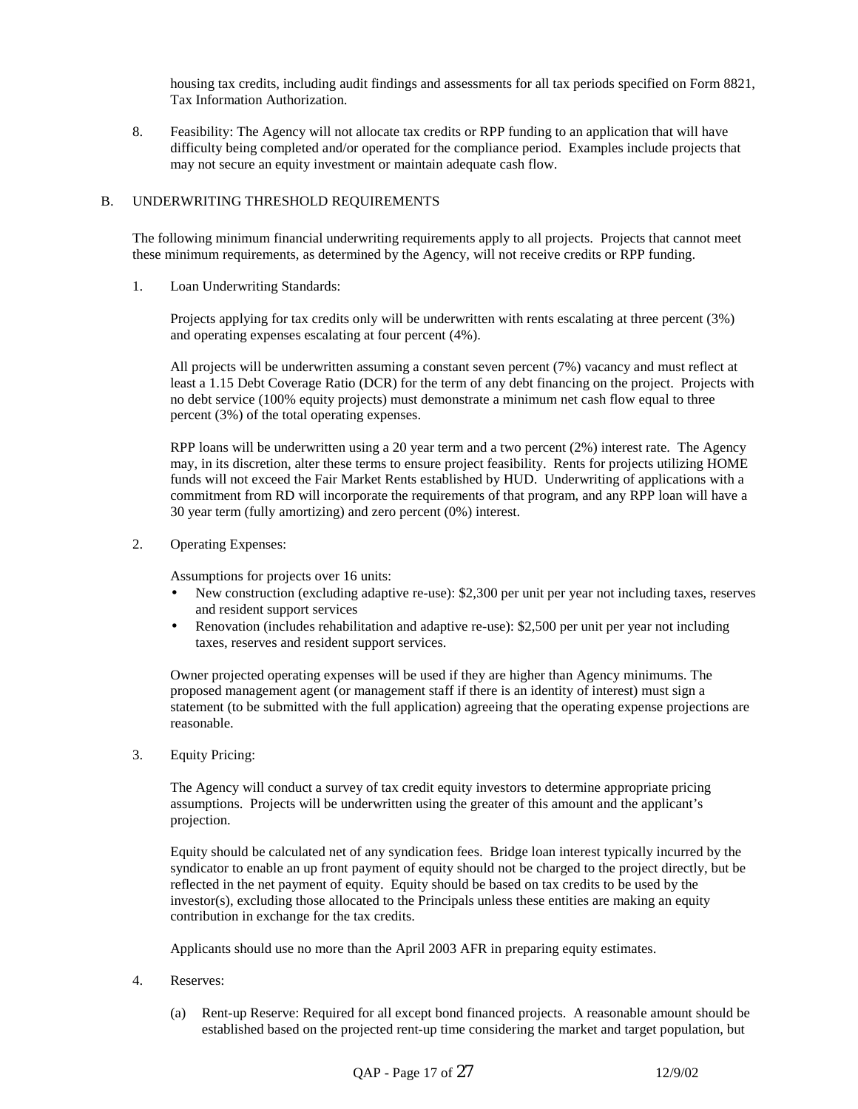housing tax credits, including audit findings and assessments for all tax periods specified on Form 8821, Tax Information Authorization.

8. Feasibility: The Agency will not allocate tax credits or RPP funding to an application that will have difficulty being completed and/or operated for the compliance period. Examples include projects that may not secure an equity investment or maintain adequate cash flow.

### B. UNDERWRITING THRESHOLD REQUIREMENTS

The following minimum financial underwriting requirements apply to all projects. Projects that cannot meet these minimum requirements, as determined by the Agency, will not receive credits or RPP funding.

1. Loan Underwriting Standards:

 Projects applying for tax credits only will be underwritten with rents escalating at three percent (3%) and operating expenses escalating at four percent (4%).

 All projects will be underwritten assuming a constant seven percent (7%) vacancy and must reflect at least a 1.15 Debt Coverage Ratio (DCR) for the term of any debt financing on the project. Projects with no debt service (100% equity projects) must demonstrate a minimum net cash flow equal to three percent (3%) of the total operating expenses.

 RPP loans will be underwritten using a 20 year term and a two percent (2%) interest rate. The Agency may, in its discretion, alter these terms to ensure project feasibility. Rents for projects utilizing HOME funds will not exceed the Fair Market Rents established by HUD. Underwriting of applications with a commitment from RD will incorporate the requirements of that program, and any RPP loan will have a 30 year term (fully amortizing) and zero percent (0%) interest.

2. Operating Expenses:

Assumptions for projects over 16 units:

- New construction (excluding adaptive re-use): \$2,300 per unit per year not including taxes, reserves and resident support services
- Renovation (includes rehabilitation and adaptive re-use): \$2,500 per unit per year not including taxes, reserves and resident support services.

Owner projected operating expenses will be used if they are higher than Agency minimums. The proposed management agent (or management staff if there is an identity of interest) must sign a statement (to be submitted with the full application) agreeing that the operating expense projections are reasonable.

3. Equity Pricing:

 The Agency will conduct a survey of tax credit equity investors to determine appropriate pricing assumptions. Projects will be underwritten using the greater of this amount and the applicant's projection.

 Equity should be calculated net of any syndication fees. Bridge loan interest typically incurred by the syndicator to enable an up front payment of equity should not be charged to the project directly, but be reflected in the net payment of equity. Equity should be based on tax credits to be used by the investor(s), excluding those allocated to the Principals unless these entities are making an equity contribution in exchange for the tax credits.

Applicants should use no more than the April 2003 AFR in preparing equity estimates.

- 4. Reserves:
	- (a) Rent-up Reserve: Required for all except bond financed projects. A reasonable amount should be established based on the projected rent-up time considering the market and target population, but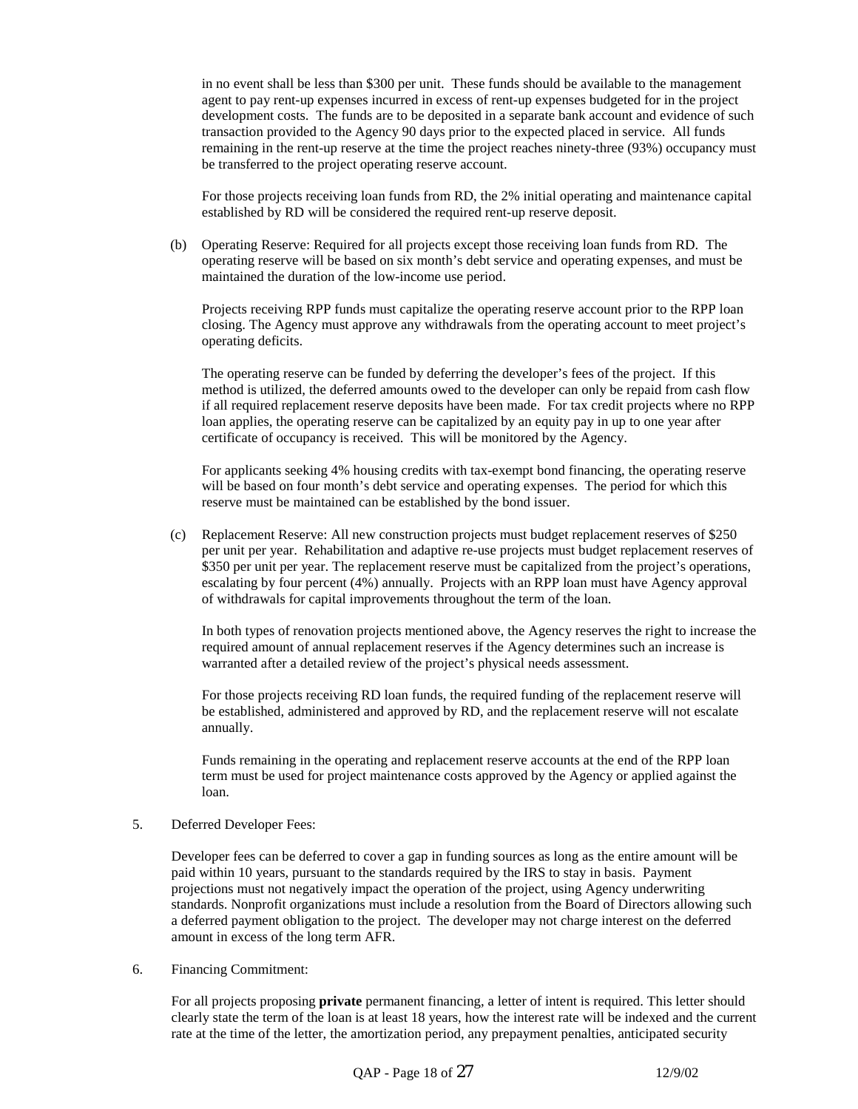in no event shall be less than \$300 per unit. These funds should be available to the management agent to pay rent-up expenses incurred in excess of rent-up expenses budgeted for in the project development costs. The funds are to be deposited in a separate bank account and evidence of such transaction provided to the Agency 90 days prior to the expected placed in service. All funds remaining in the rent-up reserve at the time the project reaches ninety-three (93%) occupancy must be transferred to the project operating reserve account.

For those projects receiving loan funds from RD, the 2% initial operating and maintenance capital established by RD will be considered the required rent-up reserve deposit.

(b) Operating Reserve: Required for all projects except those receiving loan funds from RD. The operating reserve will be based on six month's debt service and operating expenses, and must be maintained the duration of the low-income use period.

Projects receiving RPP funds must capitalize the operating reserve account prior to the RPP loan closing. The Agency must approve any withdrawals from the operating account to meet project's operating deficits.

The operating reserve can be funded by deferring the developer's fees of the project. If this method is utilized, the deferred amounts owed to the developer can only be repaid from cash flow if all required replacement reserve deposits have been made. For tax credit projects where no RPP loan applies, the operating reserve can be capitalized by an equity pay in up to one year after certificate of occupancy is received. This will be monitored by the Agency.

For applicants seeking 4% housing credits with tax-exempt bond financing, the operating reserve will be based on four month's debt service and operating expenses. The period for which this reserve must be maintained can be established by the bond issuer.

(c) Replacement Reserve: All new construction projects must budget replacement reserves of \$250 per unit per year. Rehabilitation and adaptive re-use projects must budget replacement reserves of \$350 per unit per year. The replacement reserve must be capitalized from the project's operations, escalating by four percent (4%) annually. Projects with an RPP loan must have Agency approval of withdrawals for capital improvements throughout the term of the loan.

 In both types of renovation projects mentioned above, the Agency reserves the right to increase the required amount of annual replacement reserves if the Agency determines such an increase is warranted after a detailed review of the project's physical needs assessment.

 For those projects receiving RD loan funds, the required funding of the replacement reserve will be established, administered and approved by RD, and the replacement reserve will not escalate annually.

 Funds remaining in the operating and replacement reserve accounts at the end of the RPP loan term must be used for project maintenance costs approved by the Agency or applied against the loan.

5. Deferred Developer Fees:

 Developer fees can be deferred to cover a gap in funding sources as long as the entire amount will be paid within 10 years, pursuant to the standards required by the IRS to stay in basis. Payment projections must not negatively impact the operation of the project, using Agency underwriting standards. Nonprofit organizations must include a resolution from the Board of Directors allowing such a deferred payment obligation to the project. The developer may not charge interest on the deferred amount in excess of the long term AFR.

6. Financing Commitment:

 For all projects proposing **private** permanent financing, a letter of intent is required. This letter should clearly state the term of the loan is at least 18 years, how the interest rate will be indexed and the current rate at the time of the letter, the amortization period, any prepayment penalties, anticipated security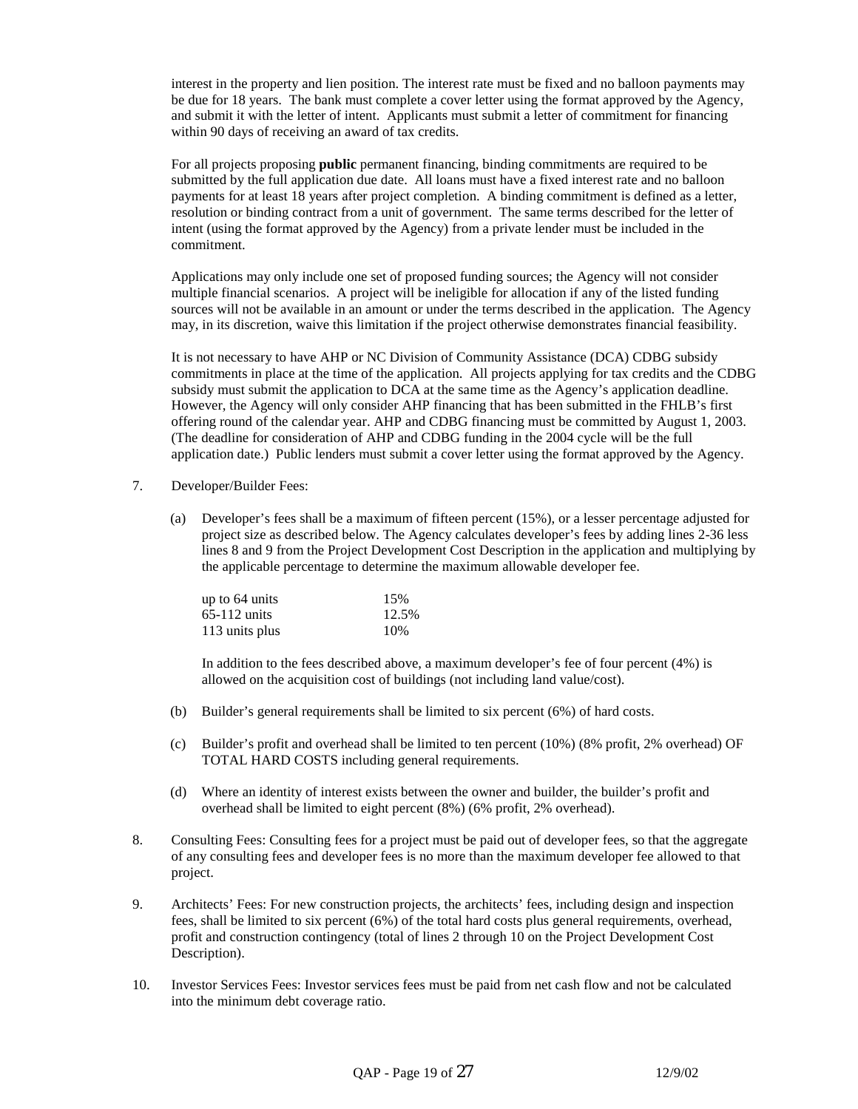interest in the property and lien position. The interest rate must be fixed and no balloon payments may be due for 18 years. The bank must complete a cover letter using the format approved by the Agency, and submit it with the letter of intent. Applicants must submit a letter of commitment for financing within 90 days of receiving an award of tax credits.

 For all projects proposing **public** permanent financing, binding commitments are required to be submitted by the full application due date. All loans must have a fixed interest rate and no balloon payments for at least 18 years after project completion. A binding commitment is defined as a letter, resolution or binding contract from a unit of government. The same terms described for the letter of intent (using the format approved by the Agency) from a private lender must be included in the commitment.

 Applications may only include one set of proposed funding sources; the Agency will not consider multiple financial scenarios. A project will be ineligible for allocation if any of the listed funding sources will not be available in an amount or under the terms described in the application. The Agency may, in its discretion, waive this limitation if the project otherwise demonstrates financial feasibility.

 It is not necessary to have AHP or NC Division of Community Assistance (DCA) CDBG subsidy commitments in place at the time of the application. All projects applying for tax credits and the CDBG subsidy must submit the application to DCA at the same time as the Agency's application deadline. However, the Agency will only consider AHP financing that has been submitted in the FHLB's first offering round of the calendar year. AHP and CDBG financing must be committed by August 1, 2003. (The deadline for consideration of AHP and CDBG funding in the 2004 cycle will be the full application date.) Public lenders must submit a cover letter using the format approved by the Agency.

- 7. Developer/Builder Fees:
	- (a) Developer's fees shall be a maximum of fifteen percent (15%), or a lesser percentage adjusted for project size as described below. The Agency calculates developer's fees by adding lines 2-36 less lines 8 and 9 from the Project Development Cost Description in the application and multiplying by the applicable percentage to determine the maximum allowable developer fee.

| up to 64 units | 15%   |
|----------------|-------|
| $65-112$ units | 12.5% |
| 113 units plus | 10%   |

 In addition to the fees described above, a maximum developer's fee of four percent (4%) is allowed on the acquisition cost of buildings (not including land value/cost).

- (b) Builder's general requirements shall be limited to six percent (6%) of hard costs.
- (c) Builder's profit and overhead shall be limited to ten percent (10%) (8% profit, 2% overhead) OF TOTAL HARD COSTS including general requirements.
- (d) Where an identity of interest exists between the owner and builder, the builder's profit and overhead shall be limited to eight percent (8%) (6% profit, 2% overhead).
- 8. Consulting Fees: Consulting fees for a project must be paid out of developer fees, so that the aggregate of any consulting fees and developer fees is no more than the maximum developer fee allowed to that project.
- 9. Architects' Fees: For new construction projects, the architects' fees, including design and inspection fees, shall be limited to six percent (6%) of the total hard costs plus general requirements, overhead, profit and construction contingency (total of lines 2 through 10 on the Project Development Cost Description).
- 10. Investor Services Fees: Investor services fees must be paid from net cash flow and not be calculated into the minimum debt coverage ratio.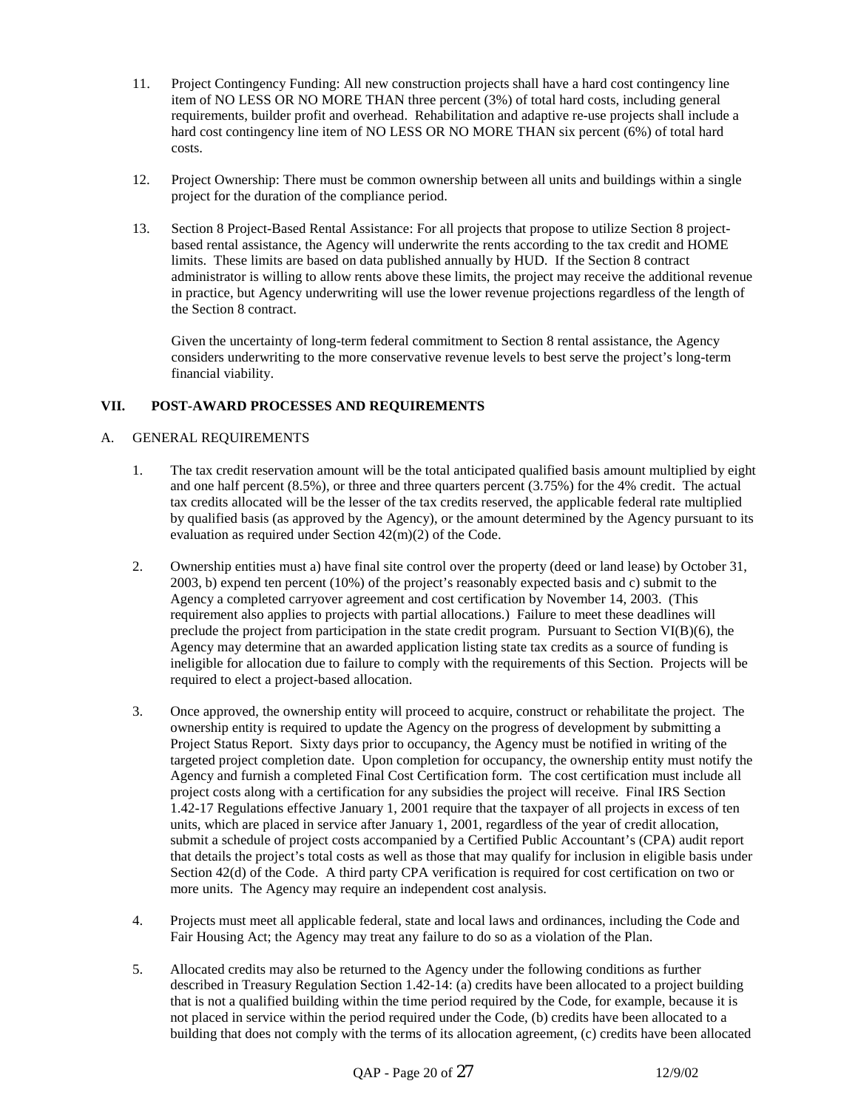- 11. Project Contingency Funding: All new construction projects shall have a hard cost contingency line item of NO LESS OR NO MORE THAN three percent (3%) of total hard costs, including general requirements, builder profit and overhead. Rehabilitation and adaptive re-use projects shall include a hard cost contingency line item of NO LESS OR NO MORE THAN six percent (6%) of total hard costs.
- 12. Project Ownership: There must be common ownership between all units and buildings within a single project for the duration of the compliance period.
- 13. Section 8 Project-Based Rental Assistance: For all projects that propose to utilize Section 8 projectbased rental assistance, the Agency will underwrite the rents according to the tax credit and HOME limits. These limits are based on data published annually by HUD. If the Section 8 contract administrator is willing to allow rents above these limits, the project may receive the additional revenue in practice, but Agency underwriting will use the lower revenue projections regardless of the length of the Section 8 contract.

 Given the uncertainty of long-term federal commitment to Section 8 rental assistance, the Agency considers underwriting to the more conservative revenue levels to best serve the project's long-term financial viability.

## **VII. POST-AWARD PROCESSES AND REQUIREMENTS**

## A. GENERAL REQUIREMENTS

- 1. The tax credit reservation amount will be the total anticipated qualified basis amount multiplied by eight and one half percent (8.5%), or three and three quarters percent (3.75%) for the 4% credit. The actual tax credits allocated will be the lesser of the tax credits reserved, the applicable federal rate multiplied by qualified basis (as approved by the Agency), or the amount determined by the Agency pursuant to its evaluation as required under Section 42(m)(2) of the Code.
- 2. Ownership entities must a) have final site control over the property (deed or land lease) by October 31, 2003, b) expend ten percent (10%) of the project's reasonably expected basis and c) submit to the Agency a completed carryover agreement and cost certification by November 14, 2003. (This requirement also applies to projects with partial allocations.) Failure to meet these deadlines will preclude the project from participation in the state credit program. Pursuant to Section VI(B)(6), the Agency may determine that an awarded application listing state tax credits as a source of funding is ineligible for allocation due to failure to comply with the requirements of this Section. Projects will be required to elect a project-based allocation.
- 3. Once approved, the ownership entity will proceed to acquire, construct or rehabilitate the project. The ownership entity is required to update the Agency on the progress of development by submitting a Project Status Report. Sixty days prior to occupancy, the Agency must be notified in writing of the targeted project completion date. Upon completion for occupancy, the ownership entity must notify the Agency and furnish a completed Final Cost Certification form. The cost certification must include all project costs along with a certification for any subsidies the project will receive. Final IRS Section 1.42-17 Regulations effective January 1, 2001 require that the taxpayer of all projects in excess of ten units, which are placed in service after January 1, 2001, regardless of the year of credit allocation, submit a schedule of project costs accompanied by a Certified Public Accountant's (CPA) audit report that details the project's total costs as well as those that may qualify for inclusion in eligible basis under Section 42(d) of the Code. A third party CPA verification is required for cost certification on two or more units. The Agency may require an independent cost analysis.
- 4. Projects must meet all applicable federal, state and local laws and ordinances, including the Code and Fair Housing Act; the Agency may treat any failure to do so as a violation of the Plan.
- 5. Allocated credits may also be returned to the Agency under the following conditions as further described in Treasury Regulation Section 1.42-14: (a) credits have been allocated to a project building that is not a qualified building within the time period required by the Code, for example, because it is not placed in service within the period required under the Code, (b) credits have been allocated to a building that does not comply with the terms of its allocation agreement, (c) credits have been allocated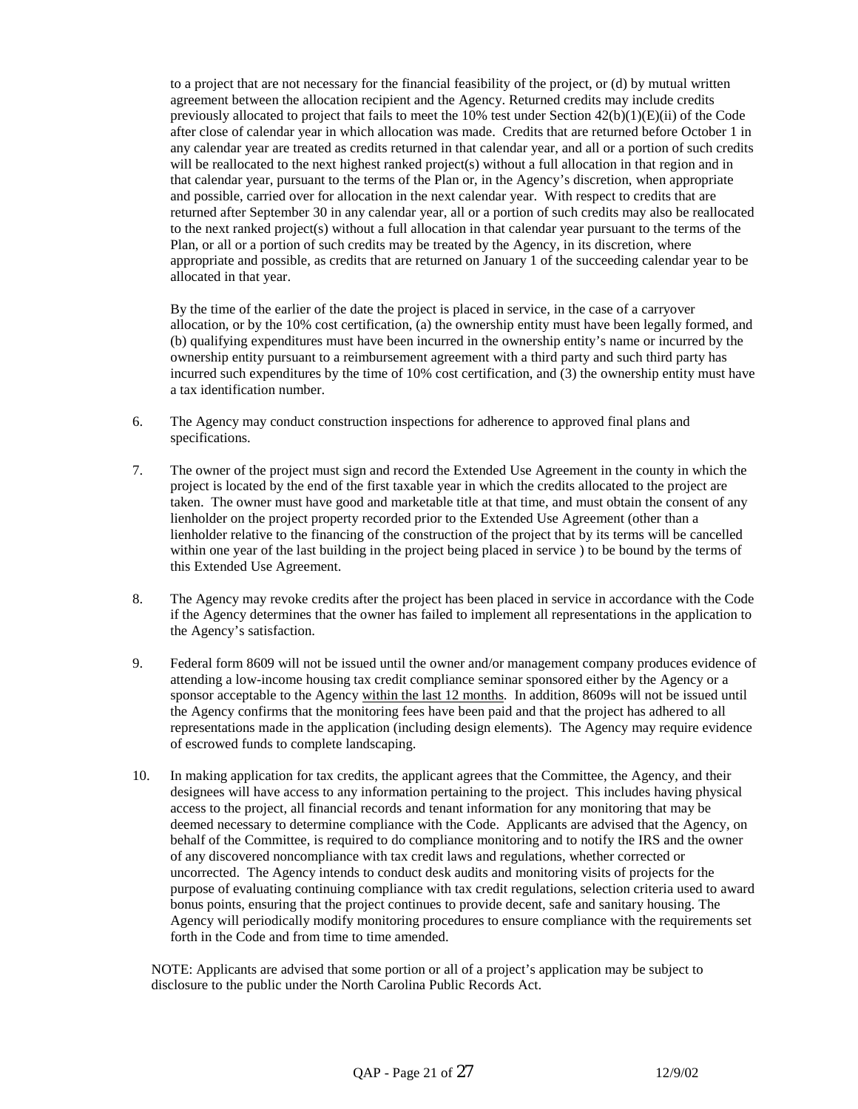to a project that are not necessary for the financial feasibility of the project, or (d) by mutual written agreement between the allocation recipient and the Agency. Returned credits may include credits previously allocated to project that fails to meet the 10% test under Section 42(b)(1)(E)(ii) of the Code after close of calendar year in which allocation was made. Credits that are returned before October 1 in any calendar year are treated as credits returned in that calendar year, and all or a portion of such credits will be reallocated to the next highest ranked project(s) without a full allocation in that region and in that calendar year, pursuant to the terms of the Plan or, in the Agency's discretion, when appropriate and possible, carried over for allocation in the next calendar year. With respect to credits that are returned after September 30 in any calendar year, all or a portion of such credits may also be reallocated to the next ranked project(s) without a full allocation in that calendar year pursuant to the terms of the Plan, or all or a portion of such credits may be treated by the Agency, in its discretion, where appropriate and possible, as credits that are returned on January 1 of the succeeding calendar year to be allocated in that year.

 By the time of the earlier of the date the project is placed in service, in the case of a carryover allocation, or by the 10% cost certification, (a) the ownership entity must have been legally formed, and (b) qualifying expenditures must have been incurred in the ownership entity's name or incurred by the ownership entity pursuant to a reimbursement agreement with a third party and such third party has incurred such expenditures by the time of 10% cost certification, and (3) the ownership entity must have a tax identification number.

- 6. The Agency may conduct construction inspections for adherence to approved final plans and specifications.
- 7. The owner of the project must sign and record the Extended Use Agreement in the county in which the project is located by the end of the first taxable year in which the credits allocated to the project are taken. The owner must have good and marketable title at that time, and must obtain the consent of any lienholder on the project property recorded prior to the Extended Use Agreement (other than a lienholder relative to the financing of the construction of the project that by its terms will be cancelled within one year of the last building in the project being placed in service ) to be bound by the terms of this Extended Use Agreement.
- 8. The Agency may revoke credits after the project has been placed in service in accordance with the Code if the Agency determines that the owner has failed to implement all representations in the application to the Agency's satisfaction.
- 9. Federal form 8609 will not be issued until the owner and/or management company produces evidence of attending a low-income housing tax credit compliance seminar sponsored either by the Agency or a sponsor acceptable to the Agency within the last 12 months. In addition, 8609s will not be issued until the Agency confirms that the monitoring fees have been paid and that the project has adhered to all representations made in the application (including design elements). The Agency may require evidence of escrowed funds to complete landscaping.
- 10. In making application for tax credits, the applicant agrees that the Committee, the Agency, and their designees will have access to any information pertaining to the project. This includes having physical access to the project, all financial records and tenant information for any monitoring that may be deemed necessary to determine compliance with the Code. Applicants are advised that the Agency, on behalf of the Committee, is required to do compliance monitoring and to notify the IRS and the owner of any discovered noncompliance with tax credit laws and regulations, whether corrected or uncorrected. The Agency intends to conduct desk audits and monitoring visits of projects for the purpose of evaluating continuing compliance with tax credit regulations, selection criteria used to award bonus points, ensuring that the project continues to provide decent, safe and sanitary housing. The Agency will periodically modify monitoring procedures to ensure compliance with the requirements set forth in the Code and from time to time amended.

NOTE: Applicants are advised that some portion or all of a project's application may be subject to disclosure to the public under the North Carolina Public Records Act.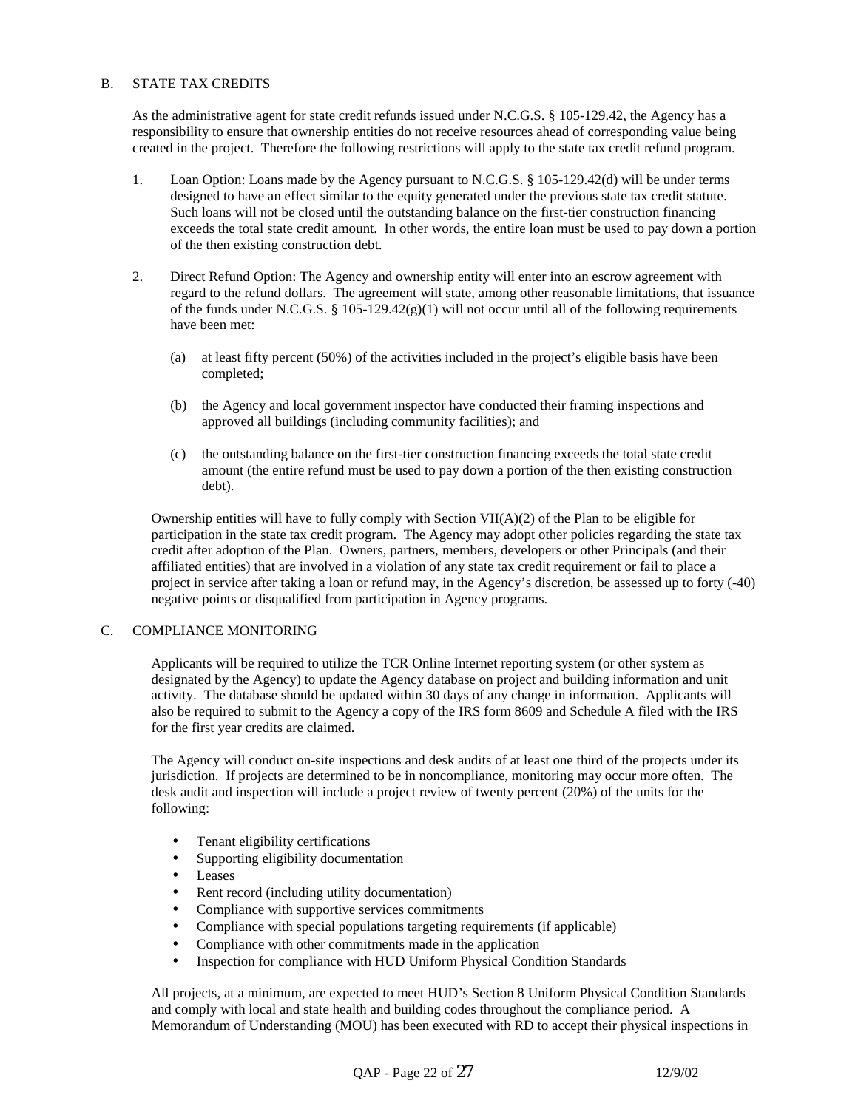## B. STATE TAX CREDITS

As the administrative agent for state credit refunds issued under N.C.G.S. § 105-129.42, the Agency has a responsibility to ensure that ownership entities do not receive resources ahead of corresponding value being created in the project. Therefore the following restrictions will apply to the state tax credit refund program.

- 1. Loan Option: Loans made by the Agency pursuant to N.C.G.S. § 105-129.42(d) will be under terms designed to have an effect similar to the equity generated under the previous state tax credit statute. Such loans will not be closed until the outstanding balance on the first-tier construction financing exceeds the total state credit amount. In other words, the entire loan must be used to pay down a portion of the then existing construction debt.
- 2. Direct Refund Option: The Agency and ownership entity will enter into an escrow agreement with regard to the refund dollars. The agreement will state, among other reasonable limitations, that issuance of the funds under N.C.G.S. § 105-129.42(g)(1) will not occur until all of the following requirements have been met:
	- (a) at least fifty percent (50%) of the activities included in the project's eligible basis have been completed;
	- (b) the Agency and local government inspector have conducted their framing inspections and approved all buildings (including community facilities); and
	- (c) the outstanding balance on the first-tier construction financing exceeds the total state credit amount (the entire refund must be used to pay down a portion of the then existing construction debt).

Ownership entities will have to fully comply with Section  $VII(A)(2)$  of the Plan to be eligible for participation in the state tax credit program. The Agency may adopt other policies regarding the state tax credit after adoption of the Plan. Owners, partners, members, developers or other Principals (and their affiliated entities) that are involved in a violation of any state tax credit requirement or fail to place a project in service after taking a loan or refund may, in the Agency's discretion, be assessed up to forty (-40) negative points or disqualified from participation in Agency programs.

### C. COMPLIANCE MONITORING

Applicants will be required to utilize the TCR Online Internet reporting system (or other system as designated by the Agency) to update the Agency database on project and building information and unit activity. The database should be updated within 30 days of any change in information. Applicants will also be required to submit to the Agency a copy of the IRS form 8609 and Schedule A filed with the IRS for the first year credits are claimed.

The Agency will conduct on-site inspections and desk audits of at least one third of the projects under its jurisdiction. If projects are determined to be in noncompliance, monitoring may occur more often. The desk audit and inspection will include a project review of twenty percent (20%) of the units for the following:

- Tenant eligibility certifications
- Supporting eligibility documentation
- Leases
- Rent record (including utility documentation)
- Compliance with supportive services commitments
- Compliance with special populations targeting requirements (if applicable)
- Compliance with other commitments made in the application
- Inspection for compliance with HUD Uniform Physical Condition Standards

All projects, at a minimum, are expected to meet HUD's Section 8 Uniform Physical Condition Standards and comply with local and state health and building codes throughout the compliance period. A Memorandum of Understanding (MOU) has been executed with RD to accept their physical inspections in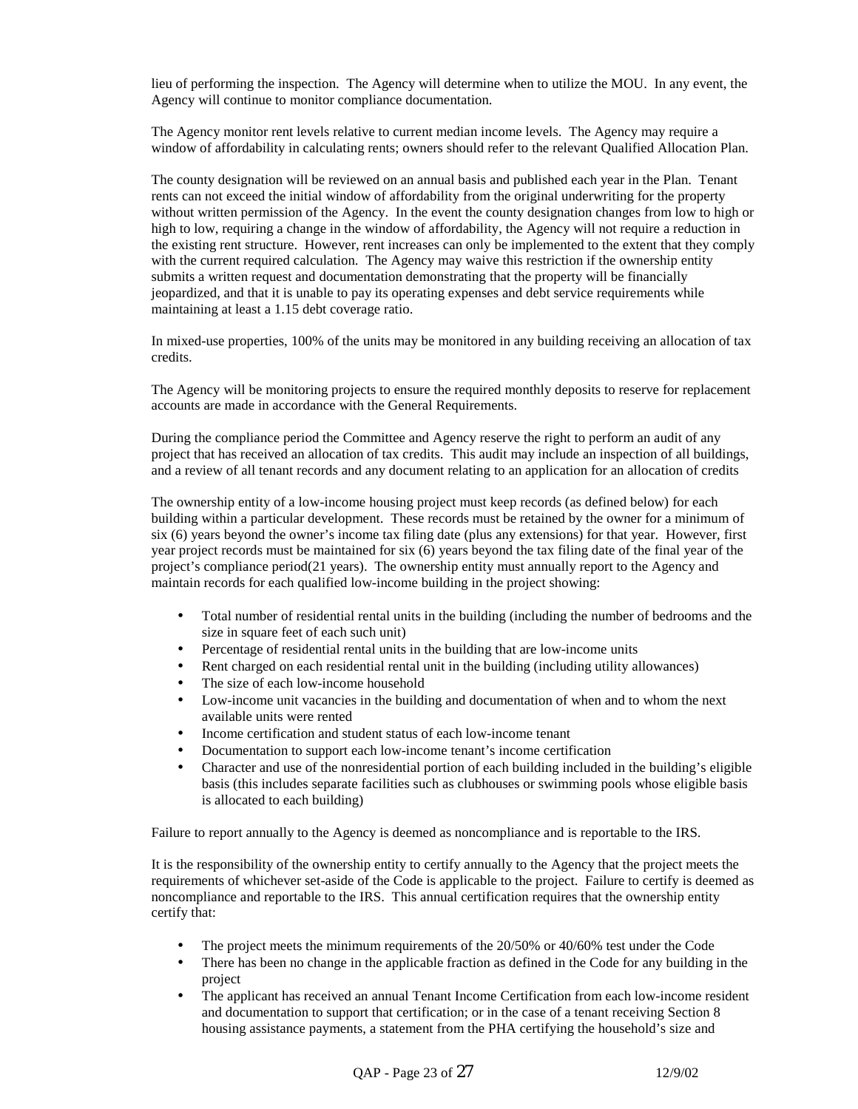lieu of performing the inspection. The Agency will determine when to utilize the MOU. In any event, the Agency will continue to monitor compliance documentation.

The Agency monitor rent levels relative to current median income levels. The Agency may require a window of affordability in calculating rents; owners should refer to the relevant Qualified Allocation Plan.

The county designation will be reviewed on an annual basis and published each year in the Plan. Tenant rents can not exceed the initial window of affordability from the original underwriting for the property without written permission of the Agency. In the event the county designation changes from low to high or high to low, requiring a change in the window of affordability, the Agency will not require a reduction in the existing rent structure. However, rent increases can only be implemented to the extent that they comply with the current required calculation. The Agency may waive this restriction if the ownership entity submits a written request and documentation demonstrating that the property will be financially jeopardized, and that it is unable to pay its operating expenses and debt service requirements while maintaining at least a 1.15 debt coverage ratio.

In mixed-use properties, 100% of the units may be monitored in any building receiving an allocation of tax credits.

The Agency will be monitoring projects to ensure the required monthly deposits to reserve for replacement accounts are made in accordance with the General Requirements.

During the compliance period the Committee and Agency reserve the right to perform an audit of any project that has received an allocation of tax credits. This audit may include an inspection of all buildings, and a review of all tenant records and any document relating to an application for an allocation of credits

The ownership entity of a low-income housing project must keep records (as defined below) for each building within a particular development. These records must be retained by the owner for a minimum of six (6) years beyond the owner's income tax filing date (plus any extensions) for that year. However, first year project records must be maintained for six (6) years beyond the tax filing date of the final year of the project's compliance period(21 years). The ownership entity must annually report to the Agency and maintain records for each qualified low-income building in the project showing:

- Total number of residential rental units in the building (including the number of bedrooms and the size in square feet of each such unit)
- Percentage of residential rental units in the building that are low-income units
- Rent charged on each residential rental unit in the building (including utility allowances)
- The size of each low-income household
- Low-income unit vacancies in the building and documentation of when and to whom the next available units were rented
- Income certification and student status of each low-income tenant
- Documentation to support each low-income tenant's income certification
- Character and use of the nonresidential portion of each building included in the building's eligible basis (this includes separate facilities such as clubhouses or swimming pools whose eligible basis is allocated to each building)

Failure to report annually to the Agency is deemed as noncompliance and is reportable to the IRS.

It is the responsibility of the ownership entity to certify annually to the Agency that the project meets the requirements of whichever set-aside of the Code is applicable to the project. Failure to certify is deemed as noncompliance and reportable to the IRS. This annual certification requires that the ownership entity certify that:

- The project meets the minimum requirements of the 20/50% or 40/60% test under the Code
- There has been no change in the applicable fraction as defined in the Code for any building in the project
- The applicant has received an annual Tenant Income Certification from each low-income resident and documentation to support that certification; or in the case of a tenant receiving Section 8 housing assistance payments, a statement from the PHA certifying the household's size and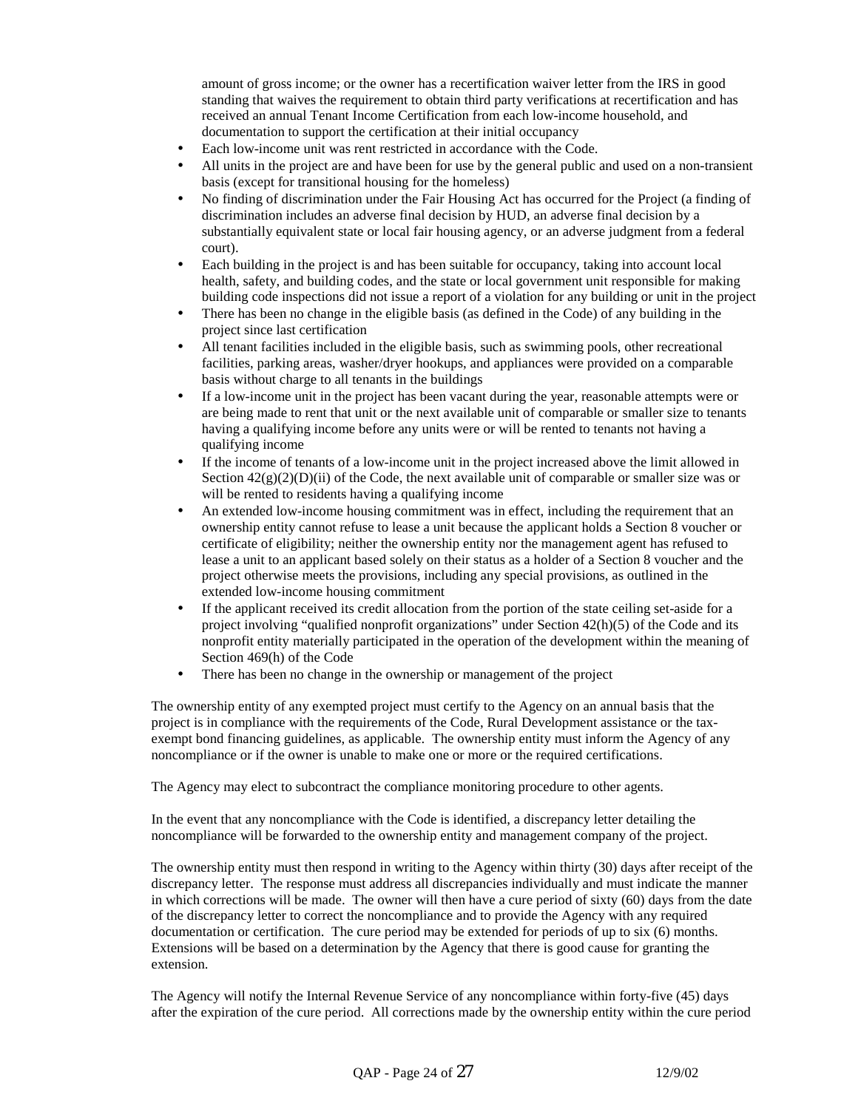amount of gross income; or the owner has a recertification waiver letter from the IRS in good standing that waives the requirement to obtain third party verifications at recertification and has received an annual Tenant Income Certification from each low-income household, and documentation to support the certification at their initial occupancy

- Each low-income unit was rent restricted in accordance with the Code.
- All units in the project are and have been for use by the general public and used on a non-transient basis (except for transitional housing for the homeless)
- No finding of discrimination under the Fair Housing Act has occurred for the Project (a finding of discrimination includes an adverse final decision by HUD, an adverse final decision by a substantially equivalent state or local fair housing agency, or an adverse judgment from a federal court).
- Each building in the project is and has been suitable for occupancy, taking into account local health, safety, and building codes, and the state or local government unit responsible for making building code inspections did not issue a report of a violation for any building or unit in the project
- There has been no change in the eligible basis (as defined in the Code) of any building in the project since last certification
- All tenant facilities included in the eligible basis, such as swimming pools, other recreational facilities, parking areas, washer/dryer hookups, and appliances were provided on a comparable basis without charge to all tenants in the buildings
- If a low-income unit in the project has been vacant during the year, reasonable attempts were or are being made to rent that unit or the next available unit of comparable or smaller size to tenants having a qualifying income before any units were or will be rented to tenants not having a qualifying income
- If the income of tenants of a low-income unit in the project increased above the limit allowed in Section  $42(g)(2)(D)(ii)$  of the Code, the next available unit of comparable or smaller size was or will be rented to residents having a qualifying income
- An extended low-income housing commitment was in effect, including the requirement that an ownership entity cannot refuse to lease a unit because the applicant holds a Section 8 voucher or certificate of eligibility; neither the ownership entity nor the management agent has refused to lease a unit to an applicant based solely on their status as a holder of a Section 8 voucher and the project otherwise meets the provisions, including any special provisions, as outlined in the extended low-income housing commitment
- If the applicant received its credit allocation from the portion of the state ceiling set-aside for a project involving "qualified nonprofit organizations" under Section 42(h)(5) of the Code and its nonprofit entity materially participated in the operation of the development within the meaning of Section 469(h) of the Code
- There has been no change in the ownership or management of the project

The ownership entity of any exempted project must certify to the Agency on an annual basis that the project is in compliance with the requirements of the Code, Rural Development assistance or the taxexempt bond financing guidelines, as applicable. The ownership entity must inform the Agency of any noncompliance or if the owner is unable to make one or more or the required certifications.

The Agency may elect to subcontract the compliance monitoring procedure to other agents.

In the event that any noncompliance with the Code is identified, a discrepancy letter detailing the noncompliance will be forwarded to the ownership entity and management company of the project.

The ownership entity must then respond in writing to the Agency within thirty (30) days after receipt of the discrepancy letter. The response must address all discrepancies individually and must indicate the manner in which corrections will be made. The owner will then have a cure period of sixty (60) days from the date of the discrepancy letter to correct the noncompliance and to provide the Agency with any required documentation or certification. The cure period may be extended for periods of up to six (6) months. Extensions will be based on a determination by the Agency that there is good cause for granting the extension.

The Agency will notify the Internal Revenue Service of any noncompliance within forty-five (45) days after the expiration of the cure period. All corrections made by the ownership entity within the cure period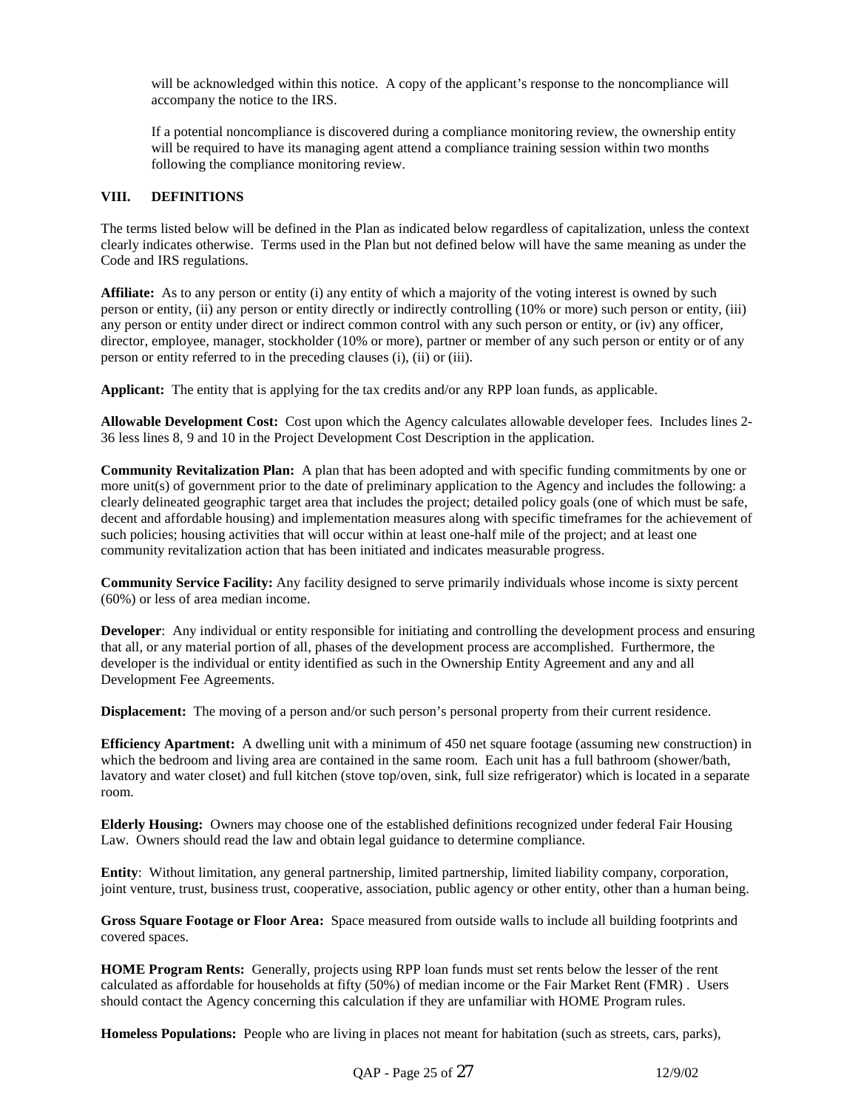will be acknowledged within this notice. A copy of the applicant's response to the noncompliance will accompany the notice to the IRS.

If a potential noncompliance is discovered during a compliance monitoring review, the ownership entity will be required to have its managing agent attend a compliance training session within two months following the compliance monitoring review.

#### **VIII. DEFINITIONS**

The terms listed below will be defined in the Plan as indicated below regardless of capitalization, unless the context clearly indicates otherwise. Terms used in the Plan but not defined below will have the same meaning as under the Code and IRS regulations.

**Affiliate:** As to any person or entity (i) any entity of which a majority of the voting interest is owned by such person or entity, (ii) any person or entity directly or indirectly controlling (10% or more) such person or entity, (iii) any person or entity under direct or indirect common control with any such person or entity, or (iv) any officer, director, employee, manager, stockholder (10% or more), partner or member of any such person or entity or of any person or entity referred to in the preceding clauses (i), (ii) or (iii).

**Applicant:** The entity that is applying for the tax credits and/or any RPP loan funds, as applicable.

**Allowable Development Cost:** Cost upon which the Agency calculates allowable developer fees. Includes lines 2- 36 less lines 8, 9 and 10 in the Project Development Cost Description in the application.

**Community Revitalization Plan:** A plan that has been adopted and with specific funding commitments by one or more unit(s) of government prior to the date of preliminary application to the Agency and includes the following: a clearly delineated geographic target area that includes the project; detailed policy goals (one of which must be safe, decent and affordable housing) and implementation measures along with specific timeframes for the achievement of such policies; housing activities that will occur within at least one-half mile of the project; and at least one community revitalization action that has been initiated and indicates measurable progress.

**Community Service Facility:** Any facility designed to serve primarily individuals whose income is sixty percent (60%) or less of area median income.

**Developer**: Any individual or entity responsible for initiating and controlling the development process and ensuring that all, or any material portion of all, phases of the development process are accomplished. Furthermore, the developer is the individual or entity identified as such in the Ownership Entity Agreement and any and all Development Fee Agreements.

**Displacement:** The moving of a person and/or such person's personal property from their current residence.

**Efficiency Apartment:** A dwelling unit with a minimum of 450 net square footage (assuming new construction) in which the bedroom and living area are contained in the same room. Each unit has a full bathroom (shower/bath, lavatory and water closet) and full kitchen (stove top/oven, sink, full size refrigerator) which is located in a separate room.

**Elderly Housing:** Owners may choose one of the established definitions recognized under federal Fair Housing Law. Owners should read the law and obtain legal guidance to determine compliance.

**Entity**: Without limitation, any general partnership, limited partnership, limited liability company, corporation, joint venture, trust, business trust, cooperative, association, public agency or other entity, other than a human being.

**Gross Square Footage or Floor Area:** Space measured from outside walls to include all building footprints and covered spaces.

**HOME Program Rents:** Generally, projects using RPP loan funds must set rents below the lesser of the rent calculated as affordable for households at fifty (50%) of median income or the Fair Market Rent (FMR) . Users should contact the Agency concerning this calculation if they are unfamiliar with HOME Program rules.

**Homeless Populations:** People who are living in places not meant for habitation (such as streets, cars, parks),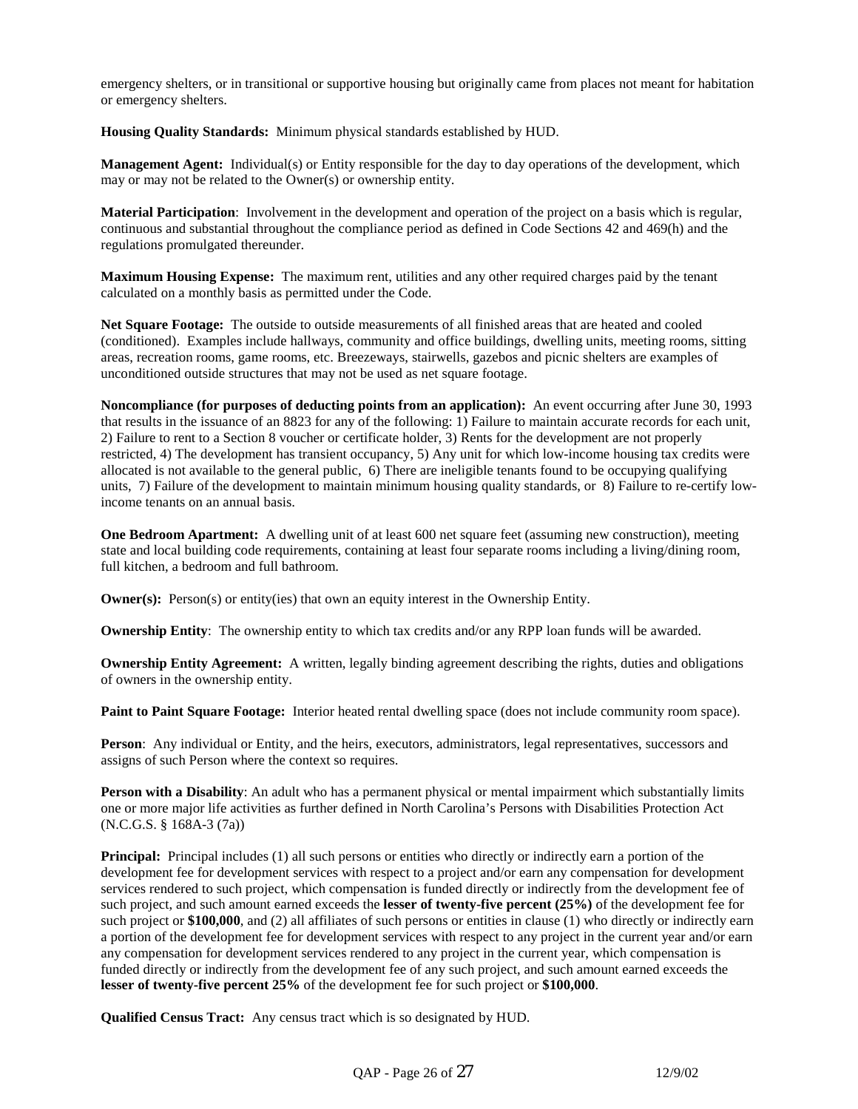emergency shelters, or in transitional or supportive housing but originally came from places not meant for habitation or emergency shelters.

**Housing Quality Standards:** Minimum physical standards established by HUD.

**Management Agent:** Individual(s) or Entity responsible for the day to day operations of the development, which may or may not be related to the Owner(s) or ownership entity.

**Material Participation**: Involvement in the development and operation of the project on a basis which is regular, continuous and substantial throughout the compliance period as defined in Code Sections 42 and 469(h) and the regulations promulgated thereunder.

**Maximum Housing Expense:** The maximum rent, utilities and any other required charges paid by the tenant calculated on a monthly basis as permitted under the Code.

**Net Square Footage:** The outside to outside measurements of all finished areas that are heated and cooled (conditioned). Examples include hallways, community and office buildings, dwelling units, meeting rooms, sitting areas, recreation rooms, game rooms, etc. Breezeways, stairwells, gazebos and picnic shelters are examples of unconditioned outside structures that may not be used as net square footage.

**Noncompliance (for purposes of deducting points from an application):** An event occurring after June 30, 1993 that results in the issuance of an 8823 for any of the following: 1) Failure to maintain accurate records for each unit, 2) Failure to rent to a Section 8 voucher or certificate holder, 3) Rents for the development are not properly restricted, 4) The development has transient occupancy, 5) Any unit for which low-income housing tax credits were allocated is not available to the general public, 6) There are ineligible tenants found to be occupying qualifying units, 7) Failure of the development to maintain minimum housing quality standards, or 8) Failure to re-certify lowincome tenants on an annual basis.

**One Bedroom Apartment:** A dwelling unit of at least 600 net square feet (assuming new construction), meeting state and local building code requirements, containing at least four separate rooms including a living/dining room, full kitchen, a bedroom and full bathroom.

**Owner(s):** Person(s) or entity(ies) that own an equity interest in the Ownership Entity.

**Ownership Entity**: The ownership entity to which tax credits and/or any RPP loan funds will be awarded.

**Ownership Entity Agreement:** A written, legally binding agreement describing the rights, duties and obligations of owners in the ownership entity.

**Paint to Paint Square Footage:** Interior heated rental dwelling space (does not include community room space).

**Person**: Any individual or Entity, and the heirs, executors, administrators, legal representatives, successors and assigns of such Person where the context so requires.

**Person with a Disability**: An adult who has a permanent physical or mental impairment which substantially limits one or more major life activities as further defined in North Carolina's Persons with Disabilities Protection Act (N.C.G.S. § 168A-3 (7a))

**Principal:** Principal includes (1) all such persons or entities who directly or indirectly earn a portion of the development fee for development services with respect to a project and/or earn any compensation for development services rendered to such project, which compensation is funded directly or indirectly from the development fee of such project, and such amount earned exceeds the **lesser of twenty-five percent (25%)** of the development fee for such project or **\$100,000**, and (2) all affiliates of such persons or entities in clause (1) who directly or indirectly earn a portion of the development fee for development services with respect to any project in the current year and/or earn any compensation for development services rendered to any project in the current year, which compensation is funded directly or indirectly from the development fee of any such project, and such amount earned exceeds the **lesser of twenty-five percent 25%** of the development fee for such project or **\$100,000**.

**Qualified Census Tract:** Any census tract which is so designated by HUD.